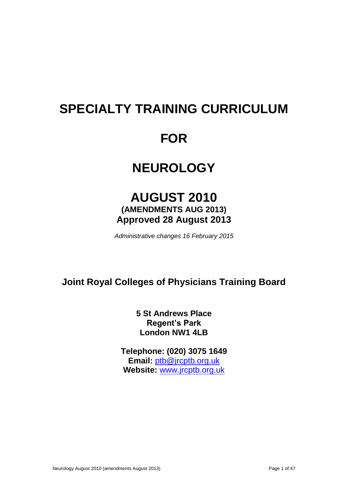# **SPECIALTY TRAINING CURRICULUM**

## **FOR**

## **NEUROLOGY**

## **AUGUST 2010 (AMENDMENTS AUG 2013) Approved 28 August 2013**

*Administrative changes 16 February 2015*

## **Joint Royal Colleges of Physicians Training Board**

**5 St Andrews Place Regent's Park London NW1 4LB**

**Telephone: (020) 3075 1649 Email:** [ptb@jrcptb.org.uk](mailto:ptb@jrcptb.org.uk) **Website:** [www.jrcptb.org.uk](http://www.jrcptb.org.uk/)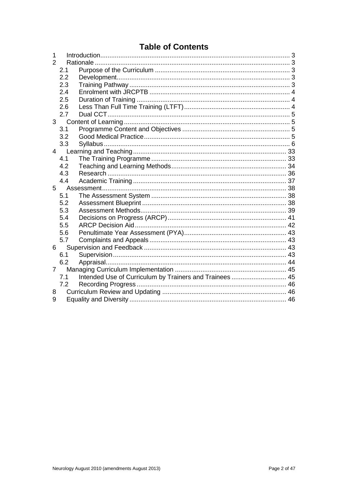## **Table of Contents**

| 1              |             |                                                         |  |
|----------------|-------------|---------------------------------------------------------|--|
| $\overline{2}$ |             |                                                         |  |
|                | 2.1         |                                                         |  |
|                | 2.2         |                                                         |  |
|                | 2.3         |                                                         |  |
|                | 2.4         |                                                         |  |
|                | 2.5         |                                                         |  |
|                | 2.6         |                                                         |  |
|                | 2.7         |                                                         |  |
|                | $3^{\circ}$ |                                                         |  |
|                | 3.1         |                                                         |  |
|                | 3.2         |                                                         |  |
|                | 3.3         |                                                         |  |
| $\overline{4}$ |             |                                                         |  |
|                | 4.1         |                                                         |  |
|                | 4.2         |                                                         |  |
|                | 4.3         |                                                         |  |
|                | 4.4         |                                                         |  |
|                | $5^{\circ}$ |                                                         |  |
|                | 5.1         |                                                         |  |
|                | 5.2         |                                                         |  |
|                | 5.3         |                                                         |  |
|                | 5.4         |                                                         |  |
|                | 5.5         |                                                         |  |
|                | 5.6         |                                                         |  |
|                | 5.7         |                                                         |  |
| 6              |             |                                                         |  |
|                | 6.1         |                                                         |  |
|                | 6.2         |                                                         |  |
| $7^{\circ}$    |             |                                                         |  |
|                | 7.1         | Intended Use of Curriculum by Trainers and Trainees  45 |  |
|                | 7.2         |                                                         |  |
| 8              |             |                                                         |  |
| 9              |             |                                                         |  |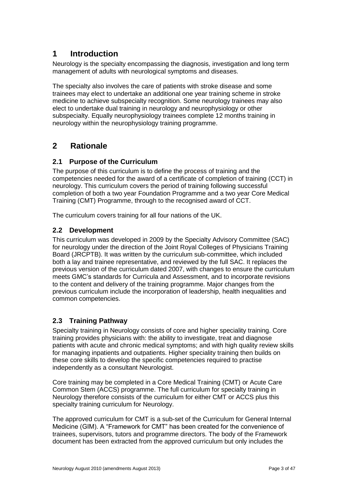## <span id="page-2-0"></span>**1 Introduction**

Neurology is the specialty encompassing the diagnosis, investigation and long term management of adults with neurological symptoms and diseases.

The specialty also involves the care of patients with stroke disease and some trainees may elect to undertake an additional one year training scheme in stroke medicine to achieve subspecialty recognition. Some neurology trainees may also elect to undertake dual training in neurology and neurophysiology or other subspecialty. Equally neurophysiology trainees complete 12 months training in neurology within the neurophysiology training programme.

## <span id="page-2-1"></span>**2 Rationale**

## <span id="page-2-2"></span>**2.1 Purpose of the Curriculum**

The purpose of this curriculum is to define the process of training and the competencies needed for the award of a certificate of completion of training (CCT) in neurology. This curriculum covers the period of training following successful completion of both a two year Foundation Programme and a two year Core Medical Training (CMT) Programme, through to the recognised award of CCT.

The curriculum covers training for all four nations of the UK.

## <span id="page-2-3"></span>**2.2 Development**

This curriculum was developed in 2009 by the Specialty Advisory Committee (SAC) for neurology under the direction of the Joint Royal Colleges of Physicians Training Board (JRCPTB). It was written by the curriculum sub-committee, which included both a lay and trainee representative, and reviewed by the full SAC. It replaces the previous version of the curriculum dated 2007, with changes to ensure the curriculum meets GMC's standards for Curricula and Assessment, and to incorporate revisions to the content and delivery of the training programme. Major changes from the previous curriculum include the incorporation of leadership, health inequalities and common competencies.

## <span id="page-2-4"></span>**2.3 Training Pathway**

Specialty training in Neurology consists of core and higher speciality training. Core training provides physicians with: the ability to investigate, treat and diagnose patients with acute and chronic medical symptoms; and with high quality review skills for managing inpatients and outpatients. Higher speciality training then builds on these core skills to develop the specific competencies required to practise independently as a consultant Neurologist.

Core training may be completed in a Core Medical Training (CMT) or Acute Care Common Stem (ACCS) programme. The full curriculum for specialty training in Neurology therefore consists of the curriculum for either CMT or ACCS plus this specialty training curriculum for Neurology.

The approved curriculum for CMT is a sub-set of the Curriculum for General Internal Medicine (GIM). A "Framework for CMT" has been created for the convenience of trainees, supervisors, tutors and programme directors. The body of the Framework document has been extracted from the approved curriculum but only includes the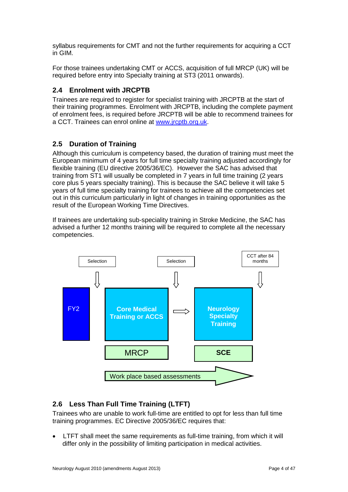syllabus requirements for CMT and not the further requirements for acquiring a CCT in GIM.

For those trainees undertaking CMT or ACCS, acquisition of full MRCP (UK) will be required before entry into Specialty training at ST3 (2011 onwards).

### <span id="page-3-0"></span>**2.4 Enrolment with JRCPTB**

Trainees are required to register for specialist training with JRCPTB at the start of their training programmes. Enrolment with JRCPTB, including the complete payment of enrolment fees, is required before JRCPTB will be able to recommend trainees for a CCT. Trainees can enrol online at [www.jrcptb.org.uk.](http://www.jrcptb.org.uk/)

### <span id="page-3-1"></span>**2.5 Duration of Training**

Although this curriculum is competency based, the duration of training must meet the European minimum of 4 years for full time specialty training adjusted accordingly for flexible training (EU directive 2005/36/EC). However the SAC has advised that training from ST1 will usually be completed in 7 years in full time training (2 years core plus 5 years specialty training). This is because the SAC believe it will take 5 years of full time specialty training for trainees to achieve all the competencies set out in this curriculum particularly in light of changes in training opportunities as the result of the European Working Time Directives.

If trainees are undertaking sub-speciality training in Stroke Medicine, the SAC has advised a further 12 months training will be required to complete all the necessary competencies.



## <span id="page-3-2"></span>**2.6 Less Than Full Time Training (LTFT)**

Trainees who are unable to work full-time are entitled to opt for less than full time training programmes. EC Directive 2005/36/EC requires that:

 LTFT shall meet the same requirements as full-time training, from which it will differ only in the possibility of limiting participation in medical activities.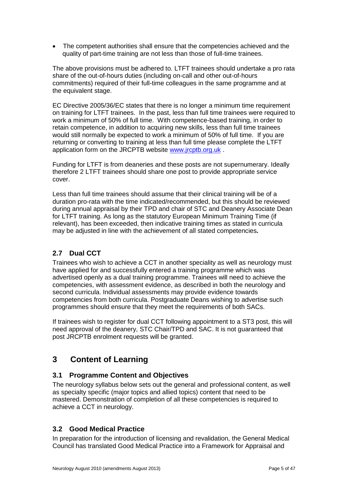The competent authorities shall ensure that the competencies achieved and the quality of part-time training are not less than those of full-time trainees.

The above provisions must be adhered to. LTFT trainees should undertake a pro rata share of the out-of-hours duties (including on-call and other out-of-hours commitments) required of their full-time colleagues in the same programme and at the equivalent stage.

EC Directive 2005/36/EC states that there is no longer a minimum time requirement on training for LTFT trainees. In the past, less than full time trainees were required to work a minimum of 50% of full time. With competence-based training, in order to retain competence, in addition to acquiring new skills, less than full time trainees would still normally be expected to work a minimum of 50% of full time. If you are returning or converting to training at less than full time please complete the LTFT application form on the JRCPTB website [www.jrcptb.org.uk](http://www.jrcptb.org.uk/) .

Funding for LTFT is from deaneries and these posts are not supernumerary. Ideally therefore 2 LTFT trainees should share one post to provide appropriate service cover.

Less than full time trainees should assume that their clinical training will be of a duration pro-rata with the time indicated/recommended, but this should be reviewed during annual appraisal by their TPD and chair of STC and Deanery Associate Dean for LTFT training. As long as the statutory European Minimum Training Time (if relevant), has been exceeded, then indicative training times as stated in curricula may be adjusted in line with the achievement of all stated competencies**.**

## <span id="page-4-0"></span>**2.7 Dual CCT**

Trainees who wish to achieve a CCT in another speciality as well as neurology must have applied for and successfully entered a training programme which was advertised openly as a dual training programme. Trainees will need to achieve the competencies, with assessment evidence, as described in both the neurology and second curricula. Individual assessments may provide evidence towards competencies from both curricula. Postgraduate Deans wishing to advertise such programmes should ensure that they meet the requirements of both SACs.

If trainees wish to register for dual CCT following appointment to a ST3 post, this will need approval of the deanery, STC Chair/TPD and SAC. It is not guaranteed that post JRCPTB enrolment requests will be granted.

## <span id="page-4-1"></span>**3 Content of Learning**

### <span id="page-4-2"></span>**3.1 Programme Content and Objectives**

The neurology syllabus below sets out the general and professional content, as well as specialty specific (major topics and allied topics) content that need to be mastered. Demonstration of completion of all these competencies is required to achieve a CCT in neurology.

## <span id="page-4-3"></span>**3.2 Good Medical Practice**

In preparation for the introduction of licensing and revalidation, the General Medical Council has translated Good Medical Practice into a Framework for Appraisal and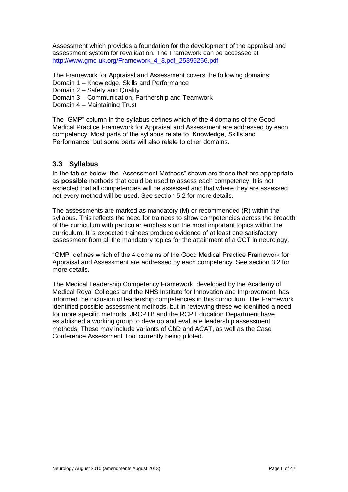Assessment which provides a foundation for the development of the appraisal and assessment system for revalidation. The Framework can be accessed at [http://www.gmc-uk.org/Framework\\_4\\_3.pdf\\_25396256.pdf](http://www.gmc-uk.org/Framework_4_3.pdf_25396256.pdf)

The Framework for Appraisal and Assessment covers the following domains: Domain 1 – Knowledge, Skills and Performance

- Domain 2 Safety and Quality
- Domain 3 Communication, Partnership and Teamwork
- Domain 4 Maintaining Trust

The "GMP" column in the syllabus defines which of the 4 domains of the Good Medical Practice Framework for Appraisal and Assessment are addressed by each competency. Most parts of the syllabus relate to "Knowledge, Skills and Performance" but some parts will also relate to other domains.

### <span id="page-5-0"></span>**3.3 Syllabus**

In the tables below, the "Assessment Methods" shown are those that are appropriate as **possible** methods that could be used to assess each competency. It is not expected that all competencies will be assessed and that where they are assessed not every method will be used. See section [5.2](#page-37-2) for more details.

The assessments are marked as mandatory (M) or recommended (R) within the syllabus. This reflects the need for trainees to show competencies across the breadth of the curriculum with particular emphasis on the most important topics within the curriculum. It is expected trainees produce evidence of at least one satisfactory assessment from all the mandatory topics for the attainment of a CCT in neurology.

"GMP" defines which of the 4 domains of the Good Medical Practice Framework for Appraisal and Assessment are addressed by each competency. See section [3.2](#page-4-3) for more details.

The Medical Leadership Competency Framework, developed by the Academy of Medical Royal Colleges and the NHS Institute for Innovation and Improvement, has informed the inclusion of leadership competencies in this curriculum. The Framework identified possible assessment methods, but in reviewing these we identified a need for more specific methods. JRCPTB and the RCP Education Department have established a working group to develop and evaluate leadership assessment methods. These may include variants of CbD and ACAT, as well as the Case Conference Assessment Tool currently being piloted.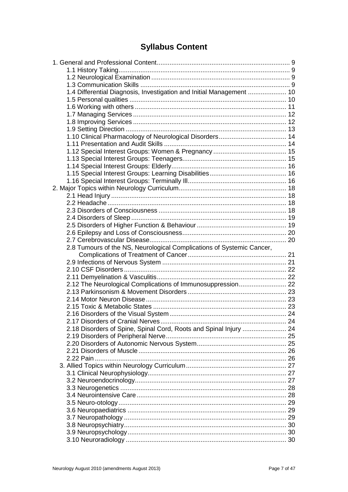## **Syllabus Content**

| 1.4 Differential Diagnosis, Investigation and Initial Management  10  |  |
|-----------------------------------------------------------------------|--|
|                                                                       |  |
|                                                                       |  |
|                                                                       |  |
|                                                                       |  |
|                                                                       |  |
|                                                                       |  |
|                                                                       |  |
|                                                                       |  |
|                                                                       |  |
|                                                                       |  |
|                                                                       |  |
|                                                                       |  |
|                                                                       |  |
|                                                                       |  |
|                                                                       |  |
|                                                                       |  |
|                                                                       |  |
|                                                                       |  |
|                                                                       |  |
|                                                                       |  |
| 2.8 Tumours of the NS, Neurological Complications of Systemic Cancer, |  |
|                                                                       |  |
|                                                                       |  |
|                                                                       |  |
|                                                                       |  |
| 2.12 The Neurological Complications of Immunosuppression 22           |  |
|                                                                       |  |
|                                                                       |  |
|                                                                       |  |
|                                                                       |  |
|                                                                       |  |
| 2.18 Disorders of Spine, Spinal Cord, Roots and Spinal Injury  24     |  |
|                                                                       |  |
|                                                                       |  |
|                                                                       |  |
|                                                                       |  |
|                                                                       |  |
|                                                                       |  |
|                                                                       |  |
|                                                                       |  |
|                                                                       |  |
|                                                                       |  |
|                                                                       |  |
|                                                                       |  |
|                                                                       |  |
|                                                                       |  |
|                                                                       |  |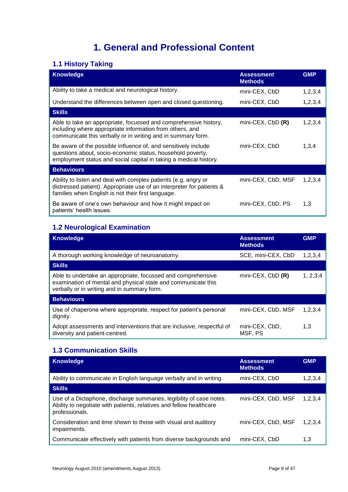## **1. General and Professional Content**

## <span id="page-8-1"></span><span id="page-8-0"></span>**1.1 History Taking**

| <b>Knowledge</b>                                                                                                                                                                                  | <b>Assessment</b><br><b>Methods</b> | <b>GMP</b> |
|---------------------------------------------------------------------------------------------------------------------------------------------------------------------------------------------------|-------------------------------------|------------|
| Ability to take a medical and neurological history.                                                                                                                                               | mini-CEX, CbD                       | 1,2,3,4    |
| Understand the differences between open and closed questioning.                                                                                                                                   | mini-CEX, CbD                       | 1,2,3,4    |
| <b>Skills</b>                                                                                                                                                                                     |                                     |            |
| Able to take an appropriate, focussed and comprehensive history,<br>including where appropriate information from others, and<br>communicate this verbally or in writing and in summary form.      | mini-CEX, $CbD$ $(R)$               | 1,2,3,4    |
| Be aware of the possible influence of, and sensitively include<br>questions about, socio-economic status, household poverty,<br>employment status and social capital in taking a medical history. | mini-CEX, CbD                       | 1,3,4      |
| <b>Behaviours</b>                                                                                                                                                                                 |                                     |            |
| Ability to listen and deal with complex patients (e.g. angry or<br>distressed patient). Appropriate use of an interpreter for patients &<br>families when English is not their first language.    | mini-CEX, CbD, MSF                  | 1, 2, 3, 4 |
| Be aware of one's own behaviour and how it might impact on<br>patients' health issues.                                                                                                            | mini-CEX, CbD, PS                   | 1,3        |

## <span id="page-8-2"></span>**1.2 Neurological Examination**

| <b>Knowledge</b>                                                                                                                                                             | <b>Assessment</b><br><b>Methods</b> | <b>GMP</b> |
|------------------------------------------------------------------------------------------------------------------------------------------------------------------------------|-------------------------------------|------------|
| A thorough working knowledge of neuroanatomy.                                                                                                                                | SCE, mini-CEX, CbD                  | 1, 2, 3, 4 |
| <b>Skills</b>                                                                                                                                                                |                                     |            |
| Able to undertake an appropriate, focussed and comprehensive<br>examination of mental and physical state and communicate this<br>verbally or in writing and in summary form. | $min$ -CEX, CbD $(R)$               | 1, 2, 3, 4 |
| <b>Behaviours</b>                                                                                                                                                            |                                     |            |
| Use of chaperone where appropriate, respect for patient's personal<br>dignity.                                                                                               | mini-CEX, CbD, MSF                  | 1,2,3,4    |
| Adopt assessments and interventions that are inclusive, respectful of<br>diversity and patient-centred.                                                                      | mini-CEX, CbD,<br>MSF, PS           | 1,3        |

## <span id="page-8-3"></span>**1.3 Communication Skills**

| <b>Knowledge</b>                                                                                                                                             | <b>Assessment</b><br><b>Methods</b> | <b>GMP</b> |
|--------------------------------------------------------------------------------------------------------------------------------------------------------------|-------------------------------------|------------|
| Ability to communicate in English language verbally and in writing.                                                                                          | mini-CEX, CbD                       | 1,2,3,4    |
| <b>Skills</b>                                                                                                                                                |                                     |            |
| Use of a Dictaphone, discharge summaries, legibility of case notes.<br>Ability to negotiate with patients, relatives and fellow healthcare<br>professionals. | mini-CEX, CbD, MSF                  | 1,2,3,4    |
| Consideration and time shown to those with visual and auditory<br>impairments.                                                                               | mini-CEX, CbD, MSF                  | 1,2,3,4    |
| Communicate effectively with patients from diverse backgrounds and                                                                                           | mini-CEX, CbD                       | 1,3        |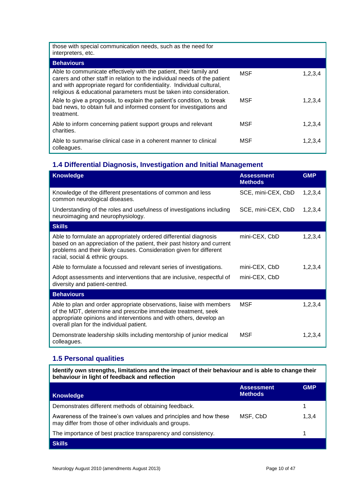| those with special communication needs, such as the need for<br>interpreters, etc.                                                                                                                                                                                                               |            |            |
|--------------------------------------------------------------------------------------------------------------------------------------------------------------------------------------------------------------------------------------------------------------------------------------------------|------------|------------|
| <b>Behaviours</b>                                                                                                                                                                                                                                                                                |            |            |
| Able to communicate effectively with the patient, their family and<br>carers and other staff in relation to the individual needs of the patient<br>and with appropriate regard for confidentiality. Individual cultural,<br>religious & educational parameters must be taken into consideration. | <b>MSF</b> | 1,2,3,4    |
| Able to give a prognosis, to explain the patient's condition, to break<br>bad news, to obtain full and informed consent for investigations and<br>treatment.                                                                                                                                     | MSF        | 1, 2, 3, 4 |
| Able to inform concerning patient support groups and relevant<br>charities.                                                                                                                                                                                                                      | MSF        | 1,2,3,4    |
| Able to summarise clinical case in a coherent manner to clinical<br>colleagues.                                                                                                                                                                                                                  | MSF        | 1,2,3,4    |

### <span id="page-9-0"></span>**1.4 Differential Diagnosis, Investigation and Initial Management**

| <b>Knowledge</b>                                                                                                                                                                                                                                        | <b>Assessment</b><br><b>Methods</b> | <b>GMP</b> |
|---------------------------------------------------------------------------------------------------------------------------------------------------------------------------------------------------------------------------------------------------------|-------------------------------------|------------|
| Knowledge of the different presentations of common and less<br>common neurological diseases.                                                                                                                                                            | SCE, mini-CEX, CbD                  | 1,2,3,4    |
| Understanding of the roles and usefulness of investigations including<br>neuroimaging and neurophysiology.                                                                                                                                              | SCE, mini-CEX, CbD                  | 1,2,3,4    |
| <b>Skills</b>                                                                                                                                                                                                                                           |                                     |            |
| Able to formulate an appropriately ordered differential diagnosis<br>based on an appreciation of the patient, their past history and current<br>problems and their likely causes. Consideration given for different<br>racial, social & ethnic groups.  | mini-CEX, CbD                       | 1,2,3,4    |
| Able to formulate a focussed and relevant series of investigations.                                                                                                                                                                                     | mini-CEX, CbD                       | 1, 2, 3, 4 |
| Adopt assessments and interventions that are inclusive, respectful of<br>diversity and patient-centred.                                                                                                                                                 | mini-CEX, CbD                       |            |
| <b>Behaviours</b>                                                                                                                                                                                                                                       |                                     |            |
| Able to plan and order appropriate observations, liaise with members<br>of the MDT, determine and prescribe immediate treatment, seek<br>appropriate opinions and interventions and with others, develop an<br>overall plan for the individual patient. | MSF                                 | 1,2,3,4    |
| Demonstrate leadership skills including mentorship of junior medical<br>colleagues.                                                                                                                                                                     | <b>MSF</b>                          | 1,2,3,4    |

## <span id="page-9-1"></span>**1.5 Personal qualities**

**Identify own strengths, limitations and the impact of their behaviour and is able to change their behaviour in light of feedback and reflection** 

| <b>Knowledge</b>                                                                                                             | <b>Assessment</b><br><b>Methods</b> | <b>GMP</b> |
|------------------------------------------------------------------------------------------------------------------------------|-------------------------------------|------------|
| Demonstrates different methods of obtaining feedback.                                                                        |                                     |            |
| Awareness of the trainee's own values and principles and how these<br>may differ from those of other individuals and groups. | MSF, CbD                            | 1,3,4      |
| The importance of best practice transparency and consistency.                                                                |                                     |            |
| <b>Skills</b>                                                                                                                |                                     |            |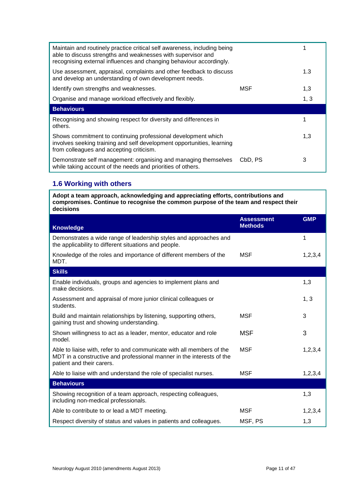| Maintain and routinely practice critical self awareness, including being<br>able to discuss strengths and weaknesses with supervisor and<br>recognising external influences and changing behaviour accordingly. |         |      |
|-----------------------------------------------------------------------------------------------------------------------------------------------------------------------------------------------------------------|---------|------|
| Use assessment, appraisal, complaints and other feedback to discuss<br>and develop an understanding of own development needs.                                                                                   |         | 1.3  |
| Identify own strengths and weaknesses.                                                                                                                                                                          | MSF     | 1,3  |
| Organise and manage workload effectively and flexibly.                                                                                                                                                          |         | 1, 3 |
| <b>Behaviours</b>                                                                                                                                                                                               |         |      |
| Recognising and showing respect for diversity and differences in<br>others.                                                                                                                                     |         |      |
| Shows commitment to continuing professional development which<br>involves seeking training and self development opportunities, learning<br>from colleagues and accepting criticism.                             |         | 1,3  |
| Demonstrate self management: organising and managing themselves<br>while taking account of the needs and priorities of others.                                                                                  | CbD, PS | 3    |

## <span id="page-10-0"></span>**1.6 Working with others**

**Adopt a team approach, acknowledging and appreciating efforts, contributions and compromises. Continue to recognise the common purpose of the team and respect their decisions** 

| <b>Knowledge</b>                                                                                                                                                            | <b>Assessment</b><br><b>Methods</b> | <b>GMP</b> |
|-----------------------------------------------------------------------------------------------------------------------------------------------------------------------------|-------------------------------------|------------|
| Demonstrates a wide range of leadership styles and approaches and<br>the applicability to different situations and people.                                                  |                                     | 1          |
| Knowledge of the roles and importance of different members of the<br>MDT.                                                                                                   | <b>MSF</b>                          | 1,2,3,4    |
| <b>Skills</b>                                                                                                                                                               |                                     |            |
| Enable individuals, groups and agencies to implement plans and<br>make decisions.                                                                                           |                                     | 1,3        |
| Assessment and appraisal of more junior clinical colleagues or<br>students.                                                                                                 |                                     | 1, 3       |
| Build and maintain relationships by listening, supporting others,<br>gaining trust and showing understanding.                                                               | <b>MSF</b>                          | 3          |
| Shown willingness to act as a leader, mentor, educator and role<br>model.                                                                                                   | <b>MSF</b>                          | 3          |
| Able to liaise with, refer to and communicate with all members of the<br>MDT in a constructive and professional manner in the interests of the<br>patient and their carers. | <b>MSF</b>                          | 1,2,3,4    |
| Able to liaise with and understand the role of specialist nurses.                                                                                                           | <b>MSF</b>                          | 1, 2, 3, 4 |
| <b>Behaviours</b>                                                                                                                                                           |                                     |            |
| Showing recognition of a team approach, respecting colleagues,<br>including non-medical professionals.                                                                      |                                     | 1,3        |
| Able to contribute to or lead a MDT meeting.                                                                                                                                | <b>MSF</b>                          | 1,2,3,4    |
| Respect diversity of status and values in patients and colleagues.                                                                                                          | MSF, PS                             | 1,3        |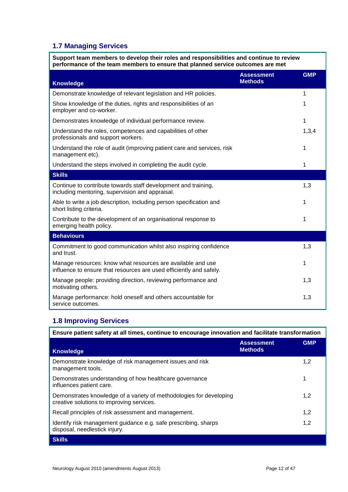## <span id="page-11-0"></span>**1.7 Managing Services**

**Support team members to develop their roles and responsibilities and continue to review performance of the team members to ensure that planned service outcomes are met** 

| <b>Knowledge</b>                                                                                                                   | <b>Assessment</b><br><b>Methods</b> | <b>GMP</b> |
|------------------------------------------------------------------------------------------------------------------------------------|-------------------------------------|------------|
| Demonstrate knowledge of relevant legislation and HR policies.                                                                     |                                     | 1          |
| Show knowledge of the duties, rights and responsibilities of an<br>employer and co-worker.                                         |                                     | 1          |
| Demonstrates knowledge of individual performance review.                                                                           |                                     | 1          |
| Understand the roles, competences and capabilities of other<br>professionals and support workers.                                  |                                     | 1,3,4      |
| Understand the role of audit (improving patient care and services, risk<br>management etc).                                        |                                     | 1          |
| Understand the steps involved in completing the audit cycle.                                                                       |                                     | 1          |
| <b>Skills</b>                                                                                                                      |                                     |            |
| Continue to contribute towards staff development and training,<br>including mentoring, supervision and appraisal.                  |                                     | 1,3        |
| Able to write a job description, including person specification and<br>short listing criteria.                                     |                                     | 1          |
| Contribute to the development of an organisational response to<br>emerging health policy.                                          |                                     | 1          |
| <b>Behaviours</b>                                                                                                                  |                                     |            |
| Commitment to good communication whilst also inspiring confidence<br>and trust.                                                    |                                     | 1,3        |
| Manage resources: know what resources are available and use<br>influence to ensure that resources are used efficiently and safely. |                                     | 1          |
| Manage people: providing direction, reviewing performance and<br>motivating others.                                                |                                     | 1,3        |
| Manage performance: hold oneself and others accountable for<br>service outcomes.                                                   |                                     | 1,3        |

## <span id="page-11-1"></span>**1.8 Improving Services**

| Ensure patient safety at all times, continue to encourage innovation and facilitate transformation               |                                     |            |
|------------------------------------------------------------------------------------------------------------------|-------------------------------------|------------|
| <b>Knowledge</b>                                                                                                 | <b>Assessment</b><br><b>Methods</b> | <b>GMP</b> |
| Demonstrate knowledge of risk management issues and risk<br>management tools.                                    |                                     | 1,2        |
| Demonstrates understanding of how healthcare governance<br>influences patient care.                              |                                     |            |
| Demonstrates knowledge of a variety of methodologies for developing<br>creative solutions to improving services. |                                     | 1,2        |
| Recall principles of risk assessment and management.                                                             |                                     | 1,2        |
| Identify risk management guidance e.g. safe prescribing, sharps<br>disposal, needlestick injury.                 |                                     | 1,2        |
| <b>Skills</b>                                                                                                    |                                     |            |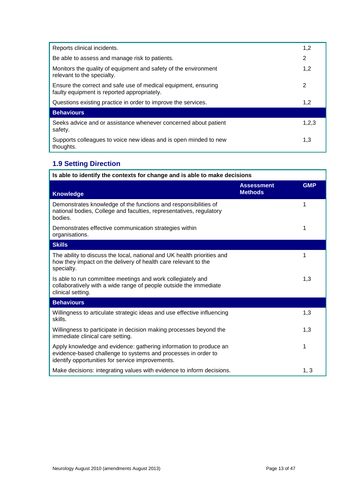| Reports clinical incidents.                                                                                   | 1,2   |
|---------------------------------------------------------------------------------------------------------------|-------|
| Be able to assess and manage risk to patients.                                                                | 2     |
| Monitors the quality of equipment and safety of the environment<br>relevant to the specialty.                 | 1,2   |
| Ensure the correct and safe use of medical equipment, ensuring<br>faulty equipment is reported appropriately. | 2     |
| Questions existing practice in order to improve the services.                                                 | 1,2   |
| <b>Behaviours</b>                                                                                             |       |
| Seeks advice and or assistance whenever concerned about patient<br>safety.                                    | 1,2,3 |
| Supports colleagues to voice new ideas and is open minded to new<br>thoughts.                                 | 1.3   |

## <span id="page-12-0"></span>**1.9 Setting Direction**

| Is able to identify the contexts for change and is able to make decisions                                                                                                              |                                     |            |
|----------------------------------------------------------------------------------------------------------------------------------------------------------------------------------------|-------------------------------------|------------|
| <b>Knowledge</b>                                                                                                                                                                       | <b>Assessment</b><br><b>Methods</b> | <b>GMP</b> |
| Demonstrates knowledge of the functions and responsibilities of<br>national bodies, College and faculties, representatives, regulatory<br>bodies.                                      |                                     | 1          |
| Demonstrates effective communication strategies within<br>organisations.                                                                                                               |                                     | 1          |
| <b>Skills</b>                                                                                                                                                                          |                                     |            |
| The ability to discuss the local, national and UK health priorities and<br>how they impact on the delivery of health care relevant to the<br>specialty.                                |                                     | 1          |
| Is able to run committee meetings and work collegiately and<br>collaboratively with a wide range of people outside the immediate<br>clinical setting.                                  |                                     | 1,3        |
| <b>Behaviours</b>                                                                                                                                                                      |                                     |            |
| Willingness to articulate strategic ideas and use effective influencing<br>skills.                                                                                                     |                                     | 1,3        |
| Willingness to participate in decision making processes beyond the<br>immediate clinical care setting.                                                                                 |                                     | 1,3        |
| Apply knowledge and evidence: gathering information to produce an<br>evidence-based challenge to systems and processes in order to<br>identify opportunities for service improvements. |                                     | 1          |
| Make decisions: integrating values with evidence to inform decisions.                                                                                                                  |                                     | 1, 3       |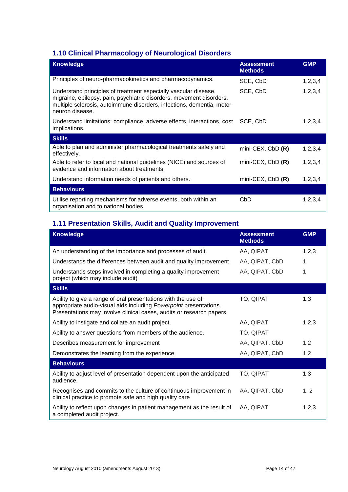## <span id="page-13-0"></span>**1.10 Clinical Pharmacology of Neurological Disorders**

| <b>Knowledge</b>                                                                                                                                                                                                                    | <b>Assessment</b><br><b>Methods</b> | <b>GMP</b> |
|-------------------------------------------------------------------------------------------------------------------------------------------------------------------------------------------------------------------------------------|-------------------------------------|------------|
| Principles of neuro-pharmacokinetics and pharmacodynamics.                                                                                                                                                                          | SCE, CbD                            | 1,2,3,4    |
| Understand principles of treatment especially vascular disease,<br>migraine, epilepsy, pain, psychiatric disorders, movement disorders,<br>multiple sclerosis, autoimmune disorders, infections, dementia, motor<br>neuron disease. | SCE, CbD                            | 1,2,3,4    |
| Understand limitations: compliance, adverse effects, interactions, cost<br>implications.                                                                                                                                            | SCE, CbD                            | 1,2,3,4    |
| <b>Skills</b>                                                                                                                                                                                                                       |                                     |            |
| Able to plan and administer pharmacological treatments safely and<br>effectively.                                                                                                                                                   | $min$ -CEX, CbD $(R)$               | 1,2,3,4    |
| Able to refer to local and national guidelines (NICE) and sources of<br>evidence and information about treatments.                                                                                                                  | mini-CEX, $CbD$ $(R)$               | 1,2,3,4    |
| Understand information needs of patients and others.                                                                                                                                                                                | mini-CEX, $CbD$ $(R)$               | 1, 2, 3, 4 |
| <b>Behaviours</b>                                                                                                                                                                                                                   |                                     |            |
| Utilise reporting mechanisms for adverse events, both within an<br>organisation and to national bodies.                                                                                                                             | CbD                                 | 1,2,3,4    |

## <span id="page-13-1"></span>**1.11 Presentation Skills, Audit and Quality Improvement**

| <b>Knowledge</b>                                                                                                                                                                                           | <b>Assessment</b><br><b>Methods</b> | <b>GMP</b> |
|------------------------------------------------------------------------------------------------------------------------------------------------------------------------------------------------------------|-------------------------------------|------------|
| An understanding of the importance and processes of audit.                                                                                                                                                 | AA, QIPAT                           | 1,2,3      |
| Understands the differences between audit and quality improvement                                                                                                                                          | AA, QIPAT, CbD                      | 1          |
| Understands steps involved in completing a quality improvement<br>project (which may include audit)                                                                                                        | AA, QIPAT, CbD                      | 1          |
| <b>Skills</b>                                                                                                                                                                                              |                                     |            |
| Ability to give a range of oral presentations with the use of<br>appropriate audio-visual aids including Powerpoint presentations.<br>Presentations may involve clinical cases, audits or research papers. | TO, QIPAT                           | 1,3        |
| Ability to instigate and collate an audit project.                                                                                                                                                         | AA, QIPAT                           | 1,2,3      |
| Ability to answer questions from members of the audience.                                                                                                                                                  | TO, QIPAT                           |            |
| Describes measurement for improvement                                                                                                                                                                      | AA, QIPAT, CbD                      | 1,2        |
| Demonstrates the learning from the experience                                                                                                                                                              | AA, QIPAT, CbD                      | 1,2        |
| <b>Behaviours</b>                                                                                                                                                                                          |                                     |            |
| Ability to adjust level of presentation dependent upon the anticipated<br>audience.                                                                                                                        | TO, QIPAT                           | 1,3        |
| Recognises and commits to the culture of continuous improvement in<br>clinical practice to promote safe and high quality care                                                                              | AA, QIPAT, CbD                      | 1, 2       |
| Ability to reflect upon changes in patient management as the result of<br>a completed audit project.                                                                                                       | AA. QIPAT                           | 1,2,3      |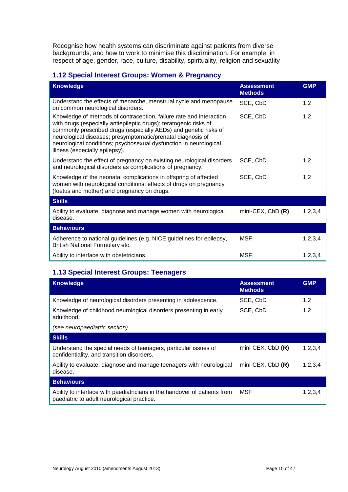Recognise how health systems can discriminate against patients from diverse backgrounds, and how to work to minimise this discrimination. For example, in respect of age, gender, race, culture, disability, spirituality, religion and sexuality

### <span id="page-14-0"></span>**1.12 Special Interest Groups: Women & Pregnancy**

| <b>Knowledge</b>                                                                                                                                                                                                                                                                                                                                                                   | <b>Assessment</b><br><b>Methods</b> | <b>GMP</b> |
|------------------------------------------------------------------------------------------------------------------------------------------------------------------------------------------------------------------------------------------------------------------------------------------------------------------------------------------------------------------------------------|-------------------------------------|------------|
| Understand the effects of menarche, menstrual cycle and menopause<br>on common neurological disorders.                                                                                                                                                                                                                                                                             | SCE, CbD                            | 1,2        |
| Knowledge of methods of contraception, failure rate and interaction<br>with drugs (especially antiepileptic drugs); teratogenic risks of<br>commonly prescribed drugs (especially AEDs) and genetic risks of<br>neurological diseases; presymptomatic/prenatal diagnosis of<br>neurological conditions; psychosexual dysfunction in neurological<br>illness (especially epilepsy). | SCE, CbD                            | 1,2        |
| Understand the effect of pregnancy on existing neurological disorders<br>and neurological disorders as complications of pregnancy.                                                                                                                                                                                                                                                 | SCE, CbD                            | 1,2        |
| Knowledge of the neonatal complications in offspring of affected<br>women with neurological conditions; effects of drugs on pregnancy<br>(foetus and mother) and pregnancy on drugs.                                                                                                                                                                                               | SCE, CbD                            | 1,2        |
| <b>Skills</b>                                                                                                                                                                                                                                                                                                                                                                      |                                     |            |
| Ability to evaluate, diagnose and manage women with neurological<br>disease.                                                                                                                                                                                                                                                                                                       | mini-CEX, $CbD$ $(R)$               | 1,2,3,4    |
| <b>Behaviours</b>                                                                                                                                                                                                                                                                                                                                                                  |                                     |            |
| Adherence to national guidelines (e.g. NICE guidelines for epilepsy,<br>British National Formulary etc.                                                                                                                                                                                                                                                                            | <b>MSF</b>                          | 1,2,3,4    |
| Ability to interface with obstetricians.                                                                                                                                                                                                                                                                                                                                           | <b>MSF</b>                          | 1,2,3,4    |

## <span id="page-14-1"></span>**1.13 Special Interest Groups: Teenagers**

| <b>Knowledge</b>                                                                                                        | <b>Assessment</b><br><b>Methods</b> | <b>GMP</b> |
|-------------------------------------------------------------------------------------------------------------------------|-------------------------------------|------------|
| Knowledge of neurological disorders presenting in adolescence.                                                          | SCE, CbD                            | 1,2        |
| Knowledge of childhood neurological disorders presenting in early<br>adulthood.                                         | SCE, CbD                            | 1,2        |
| (see neuropaediatric section)                                                                                           |                                     |            |
| <b>Skills</b>                                                                                                           |                                     |            |
| Understand the special needs of teenagers, particular issues of<br>confidentiality, and transition disorders.           | mini-CEX, $CbD$ $(R)$               | 1,2,3,4    |
| Ability to evaluate, diagnose and manage teenagers with neurological<br>disease.                                        | $min$ -CEX, CbD $(R)$               | 1,2,3,4    |
| <b>Behaviours</b>                                                                                                       |                                     |            |
| Ability to interface with paediatricians in the handover of patients from<br>paediatric to adult neurological practice. | MSF                                 | 1,2,3,4    |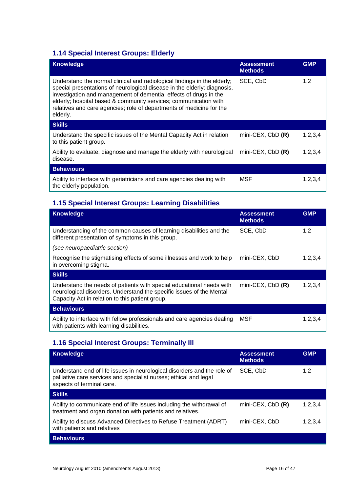## <span id="page-15-0"></span>**1.14 Special Interest Groups: Elderly**

| <b>Knowledge</b>                                                                                                                                                                                                                                                                                                                                                                  | <b>Assessment</b><br><b>Methods</b> | <b>GMP</b> |
|-----------------------------------------------------------------------------------------------------------------------------------------------------------------------------------------------------------------------------------------------------------------------------------------------------------------------------------------------------------------------------------|-------------------------------------|------------|
| Understand the normal clinical and radiological findings in the elderly;<br>special presentations of neurological disease in the elderly; diagnosis,<br>investigation and management of dementia; effects of drugs in the<br>elderly; hospital based & community services; communication with<br>relatives and care agencies; role of departments of medicine for the<br>elderly. | SCE, CbD                            | 1,2        |
| <b>Skills</b>                                                                                                                                                                                                                                                                                                                                                                     |                                     |            |
| Understand the specific issues of the Mental Capacity Act in relation<br>to this patient group.                                                                                                                                                                                                                                                                                   | $min$ -CEX, CbD $(R)$               | 1,2,3,4    |
| Ability to evaluate, diagnose and manage the elderly with neurological<br>disease.                                                                                                                                                                                                                                                                                                | $min$ -CEX, CbD $(R)$               | 1,2,3,4    |
| <b>Behaviours</b>                                                                                                                                                                                                                                                                                                                                                                 |                                     |            |
| Ability to interface with geriatricians and care agencies dealing with<br>the elderly population.                                                                                                                                                                                                                                                                                 | MSF                                 | 1,2,3,4    |

## <span id="page-15-1"></span>**1.15 Special Interest Groups: Learning Disabilities**

| <b>Knowledge</b>                                                                                                                                                                                | <b>Assessment</b><br><b>Methods</b> | <b>GMP</b> |
|-------------------------------------------------------------------------------------------------------------------------------------------------------------------------------------------------|-------------------------------------|------------|
| Understanding of the common causes of learning disabilities and the<br>different presentation of symptoms in this group.                                                                        | SCE, CbD                            | 1,2        |
| (see neuropaediatric section)                                                                                                                                                                   |                                     |            |
| Recognise the stigmatising effects of some illnesses and work to help<br>in overcoming stigma.                                                                                                  | mini-CEX, CbD                       | 1,2,3,4    |
| <b>Skills</b>                                                                                                                                                                                   |                                     |            |
| Understand the needs of patients with special educational needs with<br>neurological disorders. Understand the specific issues of the Mental<br>Capacity Act in relation to this patient group. | mini-CEX, $CbD$ $(R)$               | 1,2,3,4    |
| <b>Behaviours</b>                                                                                                                                                                               |                                     |            |
| Ability to interface with fellow professionals and care agencies dealing<br>with patients with learning disabilities.                                                                           | MSF                                 | 1,2,3,4    |

## <span id="page-15-2"></span>**1.16 Special Interest Groups: Terminally Ill**

| <b>Knowledge</b>                                                                                                                                                          | <b>Assessment</b><br><b>Methods</b> | <b>GMP</b> |
|---------------------------------------------------------------------------------------------------------------------------------------------------------------------------|-------------------------------------|------------|
| Understand end of life issues in neurological disorders and the role of<br>palliative care services and specialist nurses; ethical and legal<br>aspects of terminal care. | SCE, CbD                            | 1,2        |
| <b>Skills</b>                                                                                                                                                             |                                     |            |
| Ability to communicate end of life issues including the withdrawal of<br>treatment and organ donation with patients and relatives.                                        | mini-CEX, $CbD$ $(R)$               | 1.2.3.4    |
| Ability to discuss Advanced Directives to Refuse Treatment (ADRT)<br>with patients and relatives                                                                          | mini-CEX, CbD                       | 1,2,3,4    |
| <b>Behaviours</b>                                                                                                                                                         |                                     |            |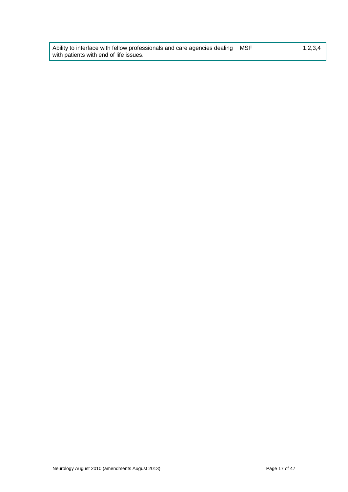Ability to interface with fellow professionals and care agencies dealing with patients with end of life issues.

 $1,2,3,4$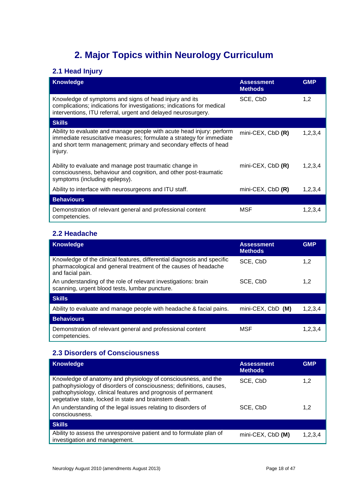## **2. Major Topics within Neurology Curriculum**

## <span id="page-17-1"></span><span id="page-17-0"></span>**2.1 Head Injury**

| <b>Knowledge</b>                                                                                                                                                                                                             | <b>Assessment</b><br><b>Methods</b> | <b>GMP</b> |
|------------------------------------------------------------------------------------------------------------------------------------------------------------------------------------------------------------------------------|-------------------------------------|------------|
| Knowledge of symptoms and signs of head injury and its<br>complications; indications for investigations; indications for medical<br>interventions, ITU referral, urgent and delayed neurosurgery.                            | SCE, CbD                            | 1,2        |
| <b>Skills</b>                                                                                                                                                                                                                |                                     |            |
| Ability to evaluate and manage people with acute head injury: perform<br>immediate resuscitative measures; formulate a strategy for immediate<br>and short term management; primary and secondary effects of head<br>injury. | mini-CEX, CbD (R)                   | 1,2,3,4    |
| Ability to evaluate and manage post traumatic change in<br>consciousness, behaviour and cognition, and other post-traumatic<br>symptoms (including epilepsy).                                                                | mini-CEX, $CbD$ $(R)$               | 1,2,3,4    |
| Ability to interface with neurosurgeons and ITU staff.                                                                                                                                                                       | mini-CEX, $CbD$ $(R)$               | 1,2,3,4    |
| <b>Behaviours</b>                                                                                                                                                                                                            |                                     |            |
| Demonstration of relevant general and professional content<br>competencies.                                                                                                                                                  | MSF                                 | 1,2,3,4    |

### <span id="page-17-2"></span>**2.2 Headache**

| <b>Knowledge</b>                                                                                                                                               | <b>Assessment</b><br><b>Methods</b> | <b>GMP</b> |
|----------------------------------------------------------------------------------------------------------------------------------------------------------------|-------------------------------------|------------|
| Knowledge of the clinical features, differential diagnosis and specific<br>pharmacological and general treatment of the causes of headache<br>and facial pain. | SCE, CbD                            | 1,2        |
| An understanding of the role of relevant investigations: brain<br>scanning, urgent blood tests, lumbar puncture.                                               | SCE, CbD                            | 1,2        |
| <b>Skills</b>                                                                                                                                                  |                                     |            |
| Ability to evaluate and manage people with headache & facial pains.                                                                                            | mini-CEX, CbD (M)                   | 1,2,3,4    |
| <b>Behaviours</b>                                                                                                                                              |                                     |            |
| Demonstration of relevant general and professional content<br>competencies.                                                                                    | MSF                                 | 1,2,3,4    |

## <span id="page-17-3"></span>**2.3 Disorders of Consciousness**

| <b>Knowledge</b>                                                                                                                                                                                                                                                | <b>Assessment</b><br><b>Methods</b> | <b>GMP</b> |
|-----------------------------------------------------------------------------------------------------------------------------------------------------------------------------------------------------------------------------------------------------------------|-------------------------------------|------------|
| Knowledge of anatomy and physiology of consciousness, and the<br>pathophysiology of disorders of consciousness; definitions, causes,<br>pathophysiology, clinical features and prognosis of permanent<br>vegetative state, locked in state and brainstem death. | SCE, CbD                            | 1,2        |
| An understanding of the legal issues relating to disorders of<br>consciousness.                                                                                                                                                                                 | SCE, CbD                            | 1,2        |
| <b>Skills</b>                                                                                                                                                                                                                                                   |                                     |            |
| Ability to assess the unresponsive patient and to formulate plan of<br>investigation and management.                                                                                                                                                            | mini-CEX, CbD (M)                   | 1,2,3,4    |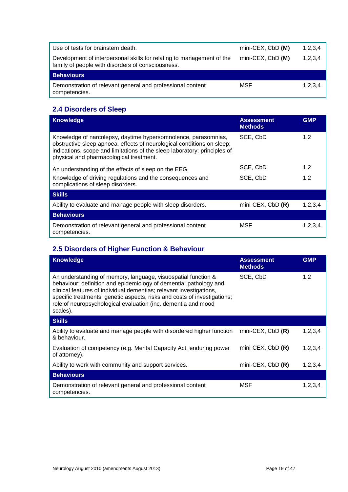| Use of tests for brainstem death.                                                                                          | mini-CEX, CbD (M) | 1,2,3,4 |
|----------------------------------------------------------------------------------------------------------------------------|-------------------|---------|
| Development of interpersonal skills for relating to management of the<br>family of people with disorders of consciousness. | mini-CEX, CbD (M) | 1,2,3,4 |
| <b>Behaviours</b>                                                                                                          |                   |         |
| Demonstration of relevant general and professional content<br>competencies.                                                | MSF               | 1,2,3,4 |

## <span id="page-18-0"></span>**2.4 Disorders of Sleep**

| <b>Knowledge</b>                                                                                                                                                                                                                                                 | <b>Assessment</b><br><b>Methods</b> | <b>GMP</b> |
|------------------------------------------------------------------------------------------------------------------------------------------------------------------------------------------------------------------------------------------------------------------|-------------------------------------|------------|
| Knowledge of narcolepsy, daytime hypersomnolence, parasomnias,<br>obstructive sleep apnoea, effects of neurological conditions on sleep;<br>indications, scope and limitations of the sleep laboratory; principles of<br>physical and pharmacological treatment. | SCE, CbD                            | 1,2        |
| An understanding of the effects of sleep on the EEG.                                                                                                                                                                                                             | SCE, CbD                            | 1,2        |
| Knowledge of driving regulations and the consequences and<br>complications of sleep disorders.                                                                                                                                                                   | SCE, CbD                            | 1,2        |
| <b>Skills</b>                                                                                                                                                                                                                                                    |                                     |            |
| Ability to evaluate and manage people with sleep disorders.                                                                                                                                                                                                      | $min$ -CEX, CbD $(R)$               | 1,2,3,4    |
| <b>Behaviours</b>                                                                                                                                                                                                                                                |                                     |            |
| Demonstration of relevant general and professional content<br>competencies.                                                                                                                                                                                      | MSF                                 | 1,2,3,4    |

## <span id="page-18-1"></span>**2.5 Disorders of Higher Function & Behaviour**

| <b>Knowledge</b>                                                                                                                                                                                                                                                                                                                                                   | <b>Assessment</b><br><b>Methods</b> | <b>GMP</b> |
|--------------------------------------------------------------------------------------------------------------------------------------------------------------------------------------------------------------------------------------------------------------------------------------------------------------------------------------------------------------------|-------------------------------------|------------|
| An understanding of memory, language, visuospatial function &<br>behaviour; definition and epidemiology of dementia; pathology and<br>clinical features of individual dementias; relevant investigations,<br>specific treatments, genetic aspects, risks and costs of investigations;<br>role of neuropsychological evaluation (inc. dementia and mood<br>scales). | SCE, CbD                            | 1,2        |
| <b>Skills</b>                                                                                                                                                                                                                                                                                                                                                      |                                     |            |
| Ability to evaluate and manage people with disordered higher function<br>& behaviour.                                                                                                                                                                                                                                                                              | mini-CEX, $CbD$ $(R)$               | 1,2,3,4    |
| Evaluation of competency (e.g. Mental Capacity Act, enduring power<br>of attorney).                                                                                                                                                                                                                                                                                | $min$ -CEX, CbD $(R)$               | 1, 2, 3, 4 |
| Ability to work with community and support services.                                                                                                                                                                                                                                                                                                               | mini-CEX, $CbD$ $(R)$               | 1, 2, 3, 4 |
| <b>Behaviours</b>                                                                                                                                                                                                                                                                                                                                                  |                                     |            |
| Demonstration of relevant general and professional content<br>competencies.                                                                                                                                                                                                                                                                                        | MSF                                 | 1, 2, 3, 4 |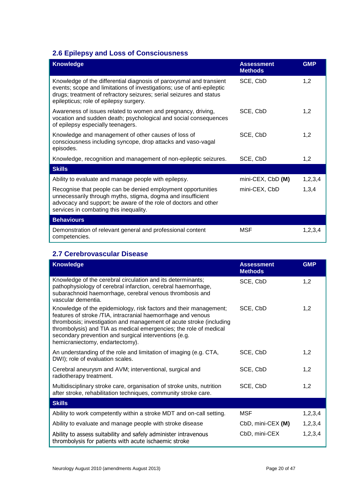## <span id="page-19-0"></span>**2.6 Epilepsy and Loss of Consciousness**

| <b>Knowledge</b>                                                                                                                                                                                                                                               | <b>Assessment</b><br><b>Methods</b> | <b>GMP</b> |
|----------------------------------------------------------------------------------------------------------------------------------------------------------------------------------------------------------------------------------------------------------------|-------------------------------------|------------|
| Knowledge of the differential diagnosis of paroxysmal and transient<br>events; scope and limitations of investigations; use of anti-epileptic<br>drugs; treatment of refractory seizures; serial seizures and status<br>epilepticus; role of epilepsy surgery. | SCE, CbD                            | 1,2        |
| Awareness of issues related to women and pregnancy, driving,<br>vocation and sudden death; psychological and social consequences<br>of epilepsy especially teenagers.                                                                                          | SCE, CbD                            | 1,2        |
| Knowledge and management of other causes of loss of<br>consciousness including syncope, drop attacks and vaso-vagal<br>episodes.                                                                                                                               | SCE, CbD                            | 1,2        |
| Knowledge, recognition and management of non-epileptic seizures.                                                                                                                                                                                               | SCE, CbD                            | 1,2        |
| <b>Skills</b>                                                                                                                                                                                                                                                  |                                     |            |
| Ability to evaluate and manage people with epilepsy.                                                                                                                                                                                                           | mini-CEX, CbD (M)                   | 1,2,3,4    |
| Recognise that people can be denied employment opportunities<br>unnecessarily through myths, stigma, dogma and insufficient<br>advocacy and support; be aware of the role of doctors and other<br>services in combating this inequality.                       | mini-CEX, CbD                       | 1,3,4      |
| <b>Behaviours</b>                                                                                                                                                                                                                                              |                                     |            |
| Demonstration of relevant general and professional content<br>competencies.                                                                                                                                                                                    | <b>MSF</b>                          | 1,2,3,4    |

### <span id="page-19-1"></span>**2.7 Cerebrovascular Disease**

| <b>Knowledge</b>                                                                                                                                                                                                                                                                                                                                                          | <b>Assessment</b><br><b>Methods</b> | <b>GMP</b> |
|---------------------------------------------------------------------------------------------------------------------------------------------------------------------------------------------------------------------------------------------------------------------------------------------------------------------------------------------------------------------------|-------------------------------------|------------|
| Knowledge of the cerebral circulation and its determinants;<br>pathophysiology of cerebral infarction, cerebral haemorrhage,<br>subarachnoid haemorrhage, cerebral venous thrombosis and<br>vascular dementia.                                                                                                                                                            | SCE, CbD                            | 1,2        |
| Knowledge of the epidemiology, risk factors and their management;<br>features of stroke /TIA, intracranial haemorrhage and venous<br>thrombosis; investigation and management of acute stroke (including<br>thrombolysis) and TIA as medical emergencies; the role of medical<br>secondary prevention and surgical interventions (e.g.<br>hemicraniectomy, endartectomy). | SCE, CbD                            | 1,2        |
| An understanding of the role and limitation of imaging (e.g. CTA,<br>DWI); role of evaluation scales.                                                                                                                                                                                                                                                                     | SCE, CbD                            | 1,2        |
| Cerebral aneurysm and AVM; interventional, surgical and<br>radiotherapy treatment.                                                                                                                                                                                                                                                                                        | SCE, CbD                            | 1,2        |
| Multidisciplinary stroke care, organisation of stroke units, nutrition<br>after stroke, rehabilitation techniques, community stroke care.                                                                                                                                                                                                                                 | SCE, CbD                            | 1,2        |
| <b>Skills</b>                                                                                                                                                                                                                                                                                                                                                             |                                     |            |
| Ability to work competently within a stroke MDT and on-call setting.                                                                                                                                                                                                                                                                                                      | MSF                                 | 1, 2, 3, 4 |
| Ability to evaluate and manage people with stroke disease                                                                                                                                                                                                                                                                                                                 | CbD, mini-CEX (M)                   | 1,2,3,4    |
| Ability to assess suitability and safely administer intravenous<br>thrombolysis for patients with acute ischaemic stroke                                                                                                                                                                                                                                                  | CbD, mini-CEX                       | 1,2,3,4    |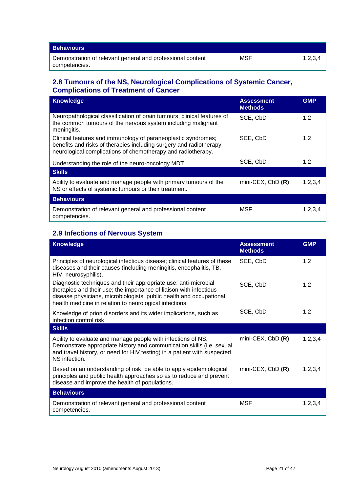| <b>Behaviours</b>                                                           |     |         |
|-----------------------------------------------------------------------------|-----|---------|
| Demonstration of relevant general and professional content<br>competencies. | MSF | 1,2,3,4 |

### <span id="page-20-0"></span>**2.8 Tumours of the NS, Neurological Complications of Systemic Cancer, Complications of Treatment of Cancer**

| <b>Knowledge</b>                                                                                                                                                                                     | <b>Assessment</b><br><b>Methods</b> | <b>GMP</b> |
|------------------------------------------------------------------------------------------------------------------------------------------------------------------------------------------------------|-------------------------------------|------------|
| Neuropathological classification of brain tumours; clinical features of<br>the common tumours of the nervous system including malignant<br>meningitis.                                               | SCE, CbD                            | 1,2        |
| Clinical features and immunology of paraneoplastic syndromes;<br>benefits and risks of therapies including surgery and radiotherapy;<br>neurological complications of chemotherapy and radiotherapy. | SCE, CbD                            | 1,2        |
| Understanding the role of the neuro-oncology MDT.                                                                                                                                                    | SCE, CbD                            | 1,2        |
| <b>Skills</b>                                                                                                                                                                                        |                                     |            |
| Ability to evaluate and manage people with primary tumours of the<br>NS or effects of systemic tumours or their treatment.                                                                           | mini-CEX, $CbD$ $(R)$               | 1,2,3,4    |
| <b>Behaviours</b>                                                                                                                                                                                    |                                     |            |
| Demonstration of relevant general and professional content<br>competencies.                                                                                                                          | MSF                                 | 1,2,3,4    |

### <span id="page-20-1"></span>**2.9 Infections of Nervous System**

| <b>Knowledge</b>                                                                                                                                                                                                                                                        | <b>Assessment</b><br><b>Methods</b> | <b>GMP</b> |
|-------------------------------------------------------------------------------------------------------------------------------------------------------------------------------------------------------------------------------------------------------------------------|-------------------------------------|------------|
| Principles of neurological infectious disease; clinical features of these<br>diseases and their causes (including meningitis, encephalitis, TB,<br>HIV, neurosyphilis).                                                                                                 | SCE, CbD                            | 1,2        |
| Diagnostic techniques and their appropriate use; anti-microbial<br>therapies and their use; the importance of liaison with infectious<br>disease physicians, microbiologists, public health and occupational<br>health medicine in relation to neurological infections. | SCE, CbD                            | 1,2        |
| Knowledge of prion disorders and its wider implications, such as<br>infection control risk.                                                                                                                                                                             | SCE, CbD                            | 1,2        |
| <b>Skills</b>                                                                                                                                                                                                                                                           |                                     |            |
| Ability to evaluate and manage people with infections of NS.<br>Demonstrate appropriate history and communication skills (i.e. sexual<br>and travel history, or need for HIV testing) in a patient with suspected<br>NS infection.                                      | mini-CEX, $CbD$ $(R)$               | 1,2,3,4    |
| Based on an understanding of risk, be able to apply epidemiological<br>principles and public health approaches so as to reduce and prevent<br>disease and improve the health of populations.                                                                            | mini-CEX, $CbD$ $(R)$               | 1,2,3,4    |
| <b>Behaviours</b>                                                                                                                                                                                                                                                       |                                     |            |
| Demonstration of relevant general and professional content<br>competencies.                                                                                                                                                                                             | MSF                                 | 1,2,3,4    |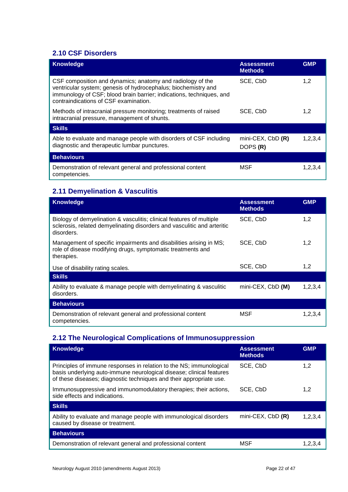## <span id="page-21-0"></span>**2.10 CSF Disorders**

| <b>Knowledge</b>                                                                                                                                                                                                                              | <b>Assessment</b><br><b>Methods</b> | <b>GMP</b> |
|-----------------------------------------------------------------------------------------------------------------------------------------------------------------------------------------------------------------------------------------------|-------------------------------------|------------|
| CSF composition and dynamics; anatomy and radiology of the<br>ventricular system; genesis of hydrocephalus; biochemistry and<br>immunology of CSF; blood brain barrier; indications, techniques, and<br>contraindications of CSF examination. | SCE, CbD                            | 1,2        |
| Methods of intracranial pressure monitoring; treatments of raised<br>intracranial pressure, management of shunts.                                                                                                                             | SCE, CbD                            | 1,2        |
| <b>Skills</b>                                                                                                                                                                                                                                 |                                     |            |
| Able to evaluate and manage people with disorders of CSF including<br>diagnostic and therapeutic lumbar punctures.                                                                                                                            | mini-CEX, $CbD$ $(R)$<br>DOPS (R)   | 1, 2, 3, 4 |
| <b>Behaviours</b>                                                                                                                                                                                                                             |                                     |            |
| Demonstration of relevant general and professional content<br>competencies.                                                                                                                                                                   | MSF                                 | 1,2,3,4    |

## <span id="page-21-1"></span>**2.11 Demyelination & Vasculitis**

| <b>Knowledge</b>                                                                                                                                              | <b>Assessment</b><br><b>Methods</b> | <b>GMP</b> |
|---------------------------------------------------------------------------------------------------------------------------------------------------------------|-------------------------------------|------------|
| Biology of demyelination & vasculitis; clinical features of multiple<br>sclerosis, related demyelinating disorders and vasculitic and arteritic<br>disorders. | SCE, CbD                            | 1,2        |
| Management of specific impairments and disabilities arising in MS;<br>role of disease modifying drugs, symptomatic treatments and<br>therapies.               | SCE, CbD                            | 1,2        |
| Use of disability rating scales.                                                                                                                              | SCE, CbD                            | 1,2        |
| <b>Skills</b>                                                                                                                                                 |                                     |            |
| Ability to evaluate & manage people with demyelinating & vasculitic<br>disorders.                                                                             | mini-CEX, CbD (M)                   | 1,2,3,4    |
| <b>Behaviours</b>                                                                                                                                             |                                     |            |
| Demonstration of relevant general and professional content<br>competencies.                                                                                   | MSF                                 | 1,2,3,4    |

## <span id="page-21-2"></span>**2.12 The Neurological Complications of Immunosuppression**

| Knowledge                                                                                                                                                                                                          | <b>Assessment</b><br><b>Methods</b> | <b>GMP</b> |
|--------------------------------------------------------------------------------------------------------------------------------------------------------------------------------------------------------------------|-------------------------------------|------------|
| Principles of immune responses in relation to the NS; immunological<br>basis underlying auto-immune neurological disease; clinical features<br>of these diseases; diagnostic techniques and their appropriate use. | SCE, CbD                            | 1,2        |
| Immunosuppressive and immunomodulatory therapies; their actions,<br>side effects and indications.                                                                                                                  | SCE, CbD                            | 1,2        |
| <b>Skills</b>                                                                                                                                                                                                      |                                     |            |
| Ability to evaluate and manage people with immunological disorders<br>caused by disease or treatment.                                                                                                              | $min$ -CEX, CbD $(R)$               | 1,2,3,4    |
| <b>Behaviours</b>                                                                                                                                                                                                  |                                     |            |
| Demonstration of relevant general and professional content                                                                                                                                                         | MSF                                 | 1.2.3.4    |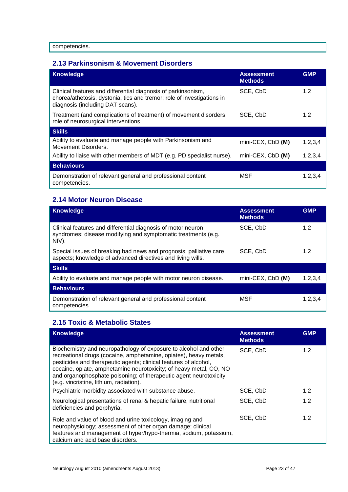### <span id="page-22-0"></span>**2.13 Parkinsonism & Movement Disorders**

| <b>Knowledge</b>                                                                                                                                                            | <b>Assessment</b><br><b>Methods</b> | <b>GMP</b> |
|-----------------------------------------------------------------------------------------------------------------------------------------------------------------------------|-------------------------------------|------------|
| Clinical features and differential diagnosis of parkinsonism,<br>chorea/athetosis, dystonia, tics and tremor; role of investigations in<br>diagnosis (including DAT scans). | SCE, CbD                            | 1,2        |
| Treatment (and complications of treatment) of movement disorders;<br>role of neurosurgical interventions.                                                                   | SCE, CbD                            | 1,2        |
| <b>Skills</b>                                                                                                                                                               |                                     |            |
| Ability to evaluate and manage people with Parkinsonism and<br>Movement Disorders.                                                                                          | mini-CEX, CbD (M)                   | 1, 2, 3, 4 |
| Ability to liaise with other members of MDT (e.g. PD specialist nurse).                                                                                                     | mini-CEX, CbD (M)                   | 1,2,3,4    |
| <b>Behaviours</b>                                                                                                                                                           |                                     |            |
| Demonstration of relevant general and professional content<br>competencies.                                                                                                 | <b>MSF</b>                          | 1,2,3,4    |

### <span id="page-22-1"></span>**2.14 Motor Neuron Disease**

| <b>Knowledge</b>                                                                                                                       | <b>Assessment</b><br><b>Methods</b> | <b>GMP</b> |
|----------------------------------------------------------------------------------------------------------------------------------------|-------------------------------------|------------|
| Clinical features and differential diagnosis of motor neuron<br>syndromes; disease modifying and symptomatic treatments (e.g.<br>NIV). | SCE, CbD                            | 1,2        |
| Special issues of breaking bad news and prognosis; palliative care<br>aspects; knowledge of advanced directives and living wills.      | SCE, CbD                            | 1,2        |
| <b>Skills</b>                                                                                                                          |                                     |            |
| Ability to evaluate and manage people with motor neuron disease.                                                                       | mini-CEX, CbD (M)                   | 1,2,3,4    |
| <b>Behaviours</b>                                                                                                                      |                                     |            |
| Demonstration of relevant general and professional content<br>competencies.                                                            | MSF                                 | 1,2,3,4    |

### <span id="page-22-2"></span>**2.15 Toxic & Metabolic States**

| <b>Knowledge</b>                                                                                                                                                                                                                                                                                                                                                                                | <b>Assessment</b><br><b>Methods</b> | <b>GMP</b> |
|-------------------------------------------------------------------------------------------------------------------------------------------------------------------------------------------------------------------------------------------------------------------------------------------------------------------------------------------------------------------------------------------------|-------------------------------------|------------|
| Biochemistry and neuropathology of exposure to alcohol and other<br>recreational drugs (cocaine, amphetamine, opiates), heavy metals,<br>pesticides and therapeutic agents; clinical features of alcohol,<br>cocaine, opiate, amphetamine neurotoxicity; of heavy metal, CO, NO<br>and organophosphate poisoning; of therapeutic agent neurotoxicity<br>(e.g. vincristine, lithium, radiation). | SCE, CbD                            | 1,2        |
| Psychiatric morbidity associated with substance abuse.                                                                                                                                                                                                                                                                                                                                          | SCE, CbD                            | 1,2        |
| Neurological presentations of renal & hepatic failure, nutritional<br>deficiencies and porphyria.                                                                                                                                                                                                                                                                                               | SCE, CbD                            | 1,2        |
| Role and value of blood and urine toxicology, imaging and<br>neurophysiology; assessment of other organ damage; clinical<br>features and management of hyper/hypo-thermia, sodium, potassium,<br>calcium and acid base disorders.                                                                                                                                                               | SCE, CbD                            | 1,2        |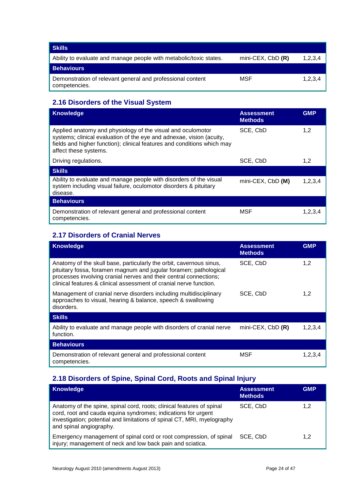| Skills                                                                      |                       |         |
|-----------------------------------------------------------------------------|-----------------------|---------|
| Ability to evaluate and manage people with metabolic/toxic states.          | $min$ -CEX, CbD $(R)$ | 1,2,3,4 |
| <b>Behaviours</b>                                                           |                       |         |
| Demonstration of relevant general and professional content<br>competencies. | MSF                   | 1,2,3,4 |

## <span id="page-23-0"></span>**2.16 Disorders of the Visual System**

| <b>Knowledge</b>                                                                                                                                                                                                                        | <b>Assessment</b><br><b>Methods</b> | <b>GMP</b> |
|-----------------------------------------------------------------------------------------------------------------------------------------------------------------------------------------------------------------------------------------|-------------------------------------|------------|
| Applied anatomy and physiology of the visual and oculomotor<br>systems; clinical evaluation of the eye and adnexae, vision (acuity,<br>fields and higher function); clinical features and conditions which may<br>affect these systems. | SCE, CbD                            | 1,2        |
| Driving regulations.                                                                                                                                                                                                                    | SCE, CbD                            | 1,2        |
| <b>Skills</b>                                                                                                                                                                                                                           |                                     |            |
| Ability to evaluate and manage people with disorders of the visual<br>system including visual failure, oculomotor disorders & pituitary<br>disease.                                                                                     | mini-CEX, CbD (M)                   | 1,2,3,4    |
| <b>Behaviours</b>                                                                                                                                                                                                                       |                                     |            |
| Demonstration of relevant general and professional content<br>competencies.                                                                                                                                                             | <b>MSF</b>                          | 1,2,3,4    |

## <span id="page-23-1"></span>**2.17 Disorders of Cranial Nerves**

| <b>Knowledge</b>                                                                                                                                                                                                                                                                    | <b>Assessment</b><br><b>Methods</b> | <b>GMP</b> |
|-------------------------------------------------------------------------------------------------------------------------------------------------------------------------------------------------------------------------------------------------------------------------------------|-------------------------------------|------------|
| Anatomy of the skull base, particularly the orbit, cavernous sinus,<br>pituitary fossa, foramen magnum and jugular foramen; pathological<br>processes involving cranial nerves and their central connections;<br>clinical features & clinical assessment of cranial nerve function. | SCE, CbD                            | 1,2        |
| Management of cranial nerve disorders including multidisciplinary<br>approaches to visual, hearing & balance, speech & swallowing<br>disorders.                                                                                                                                     | SCE, CbD                            | 1,2        |
| <b>Skills</b>                                                                                                                                                                                                                                                                       |                                     |            |
| Ability to evaluate and manage people with disorders of cranial nerve<br>function.                                                                                                                                                                                                  | mini-CEX, $CbD$ $(R)$               | 1,2,3,4    |
| <b>Behaviours</b>                                                                                                                                                                                                                                                                   |                                     |            |
| Demonstration of relevant general and professional content<br>competencies.                                                                                                                                                                                                         | MSF                                 | 1,2,3,4    |

## <span id="page-23-2"></span>**2.18 Disorders of Spine, Spinal Cord, Roots and Spinal Injury**

| <b>Knowledge</b>                                                                                                                                                                                                                             | <b>Assessment</b><br><b>Methods</b> | <b>GMP</b> |
|----------------------------------------------------------------------------------------------------------------------------------------------------------------------------------------------------------------------------------------------|-------------------------------------|------------|
| Anatomy of the spine, spinal cord, roots; clinical features of spinal<br>cord, root and cauda equina syndromes; indications for urgent<br>investigation; potential and limitations of spinal CT, MRI, myelography<br>and spinal angiography. | SCE, CbD                            | 1,2        |
| Emergency management of spinal cord or root compression, of spinal<br>injury; management of neck and low back pain and sciatica.                                                                                                             | SCE, CbD                            | 1,2        |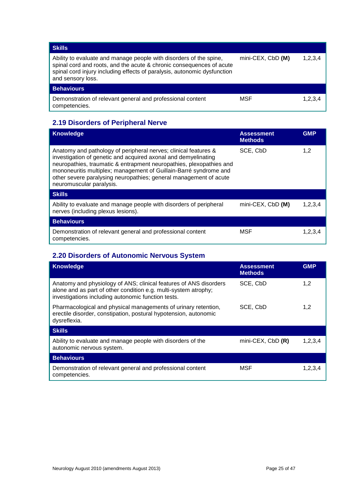| <b>Skills</b>                                                                                                                                                                                                                               |                   |         |
|---------------------------------------------------------------------------------------------------------------------------------------------------------------------------------------------------------------------------------------------|-------------------|---------|
| Ability to evaluate and manage people with disorders of the spine,<br>spinal cord and roots, and the acute & chronic consequences of acute<br>spinal cord injury including effects of paralysis, autonomic dysfunction<br>and sensory loss. | mini-CEX, CbD (M) | 1,2,3,4 |
| <b>Behaviours</b>                                                                                                                                                                                                                           |                   |         |
| Demonstration of relevant general and professional content<br>competencies.                                                                                                                                                                 | MSF               | 1,2,3,4 |

## <span id="page-24-0"></span>**2.19 Disorders of Peripheral Nerve**

| Knowledge                                                                                                                                                                                                                                                                                                                                                                      | <b>Assessment</b><br><b>Methods</b> | <b>GMP</b> |
|--------------------------------------------------------------------------------------------------------------------------------------------------------------------------------------------------------------------------------------------------------------------------------------------------------------------------------------------------------------------------------|-------------------------------------|------------|
| Anatomy and pathology of peripheral nerves; clinical features &<br>investigation of genetic and acquired axonal and demyelinating<br>neuropathies, traumatic & entrapment neuropathies, plexopathies and<br>mononeuritis multiplex; management of Guillain-Barré syndrome and<br>other severe paralysing neuropathies; general management of acute<br>neuromuscular paralysis. | SCE, CbD                            | 1,2        |
| <b>Skills</b>                                                                                                                                                                                                                                                                                                                                                                  |                                     |            |
| Ability to evaluate and manage people with disorders of peripheral<br>nerves (including plexus lesions).                                                                                                                                                                                                                                                                       | mini-CEX, CbD (M)                   | 1, 2, 3, 4 |
| <b>Behaviours</b>                                                                                                                                                                                                                                                                                                                                                              |                                     |            |
| Demonstration of relevant general and professional content<br>competencies.                                                                                                                                                                                                                                                                                                    | <b>MSF</b>                          | 1,2,3,4    |

## <span id="page-24-1"></span>**2.20 Disorders of Autonomic Nervous System**

| <b>Knowledge</b>                                                                                                                                                                           | <b>Assessment</b><br><b>Methods</b> | <b>GMP</b> |
|--------------------------------------------------------------------------------------------------------------------------------------------------------------------------------------------|-------------------------------------|------------|
| Anatomy and physiology of ANS; clinical features of ANS disorders<br>alone and as part of other condition e.g. multi-system atrophy;<br>investigations including autonomic function tests. | SCE, CbD                            | 1,2        |
| Pharmacological and physical managements of urinary retention,<br>erectile disorder, constipation, postural hypotension, autonomic<br>dysreflexia.                                         | SCE, CbD                            | 1,2        |
| <b>Skills</b>                                                                                                                                                                              |                                     |            |
| Ability to evaluate and manage people with disorders of the<br>autonomic nervous system.                                                                                                   | mini-CEX, $CbD$ $(R)$               | 1,2,3,4    |
| <b>Behaviours</b>                                                                                                                                                                          |                                     |            |
| Demonstration of relevant general and professional content<br>competencies.                                                                                                                | MSF                                 | 1,2,3,4    |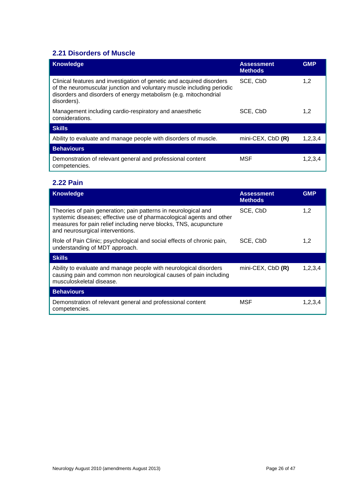## <span id="page-25-0"></span>**2.21 Disorders of Muscle**

| <b>Knowledge</b>                                                                                                                                                                                                                  | <b>Assessment</b><br><b>Methods</b> | <b>GMP</b> |
|-----------------------------------------------------------------------------------------------------------------------------------------------------------------------------------------------------------------------------------|-------------------------------------|------------|
| Clinical features and investigation of genetic and acquired disorders<br>of the neuromuscular junction and voluntary muscle including periodic<br>disorders and disorders of energy metabolism (e.g. mitochondrial<br>disorders). | SCE, CbD                            | 1,2        |
| Management including cardio-respiratory and anaesthetic<br>considerations.                                                                                                                                                        | SCE, CbD                            | 1,2        |
| <b>Skills</b>                                                                                                                                                                                                                     |                                     |            |
| Ability to evaluate and manage people with disorders of muscle.                                                                                                                                                                   | mini-CEX, CbD (R)                   | 1,2,3,4    |
| <b>Behaviours</b>                                                                                                                                                                                                                 |                                     |            |
| Demonstration of relevant general and professional content<br>competencies.                                                                                                                                                       | <b>MSF</b>                          | 1,2,3,4    |

## <span id="page-25-1"></span>**2.22 Pain**

| <b>Knowledge</b>                                                                                                                                                                                                                                | <b>Assessment</b><br><b>Methods</b> | <b>GMP</b> |
|-------------------------------------------------------------------------------------------------------------------------------------------------------------------------------------------------------------------------------------------------|-------------------------------------|------------|
| Theories of pain generation; pain patterns in neurological and<br>systemic diseases; effective use of pharmacological agents and other<br>measures for pain relief including nerve blocks, TNS, acupuncture<br>and neurosurgical interventions. | SCE, CbD                            | 1,2        |
| Role of Pain Clinic; psychological and social effects of chronic pain,<br>understanding of MDT approach.                                                                                                                                        | SCE, CbD                            | 1,2        |
| <b>Skills</b>                                                                                                                                                                                                                                   |                                     |            |
| Ability to evaluate and manage people with neurological disorders<br>causing pain and common non neurological causes of pain including<br>musculoskeletal disease.                                                                              | mini-CEX, CbD (R)                   | 1,2,3,4    |
| <b>Behaviours</b>                                                                                                                                                                                                                               |                                     |            |
| Demonstration of relevant general and professional content<br>competencies.                                                                                                                                                                     | MSF                                 | 1,2,3,4    |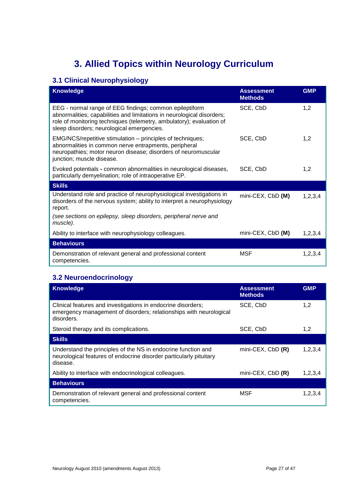## **3. Allied Topics within Neurology Curriculum**

## <span id="page-26-1"></span><span id="page-26-0"></span>**3.1 Clinical Neurophysiology**

| <b>Knowledge</b>                                                                                                                                                                                                                                        | <b>Assessment</b><br><b>Methods</b> | <b>GMP</b> |
|---------------------------------------------------------------------------------------------------------------------------------------------------------------------------------------------------------------------------------------------------------|-------------------------------------|------------|
| EEG - normal range of EEG findings; common epileptiform<br>abnormalities; capabilities and limitations in neurological disorders;<br>role of monitoring techniques (telemetry, ambulatory); evaluation of<br>sleep disorders; neurological emergencies. | SCE, CbD                            | 1,2        |
| EMG/NCS/repetitive stimulation – principles of techniques;<br>abnormalities in common nerve entrapments, peripheral<br>neuropathies; motor neuron disease; disorders of neuromuscular<br>junction; muscle disease.                                      | SCE, CbD                            | 1,2        |
| Evoked potentials - common abnormalities in neurological diseases,<br>particularly demyelination; role of intraoperative EP.                                                                                                                            | SCE, CbD                            | 1,2        |
| <b>Skills</b>                                                                                                                                                                                                                                           |                                     |            |
| Understand role and practice of neurophysiological investigations in<br>disorders of the nervous system; ability to interpret a neurophysiology<br>report.                                                                                              | mini-CEX, CbD (M)                   | 1,2,3,4    |
| (see sections on epilepsy, sleep disorders, peripheral nerve and<br>muscle).                                                                                                                                                                            |                                     |            |
| Ability to interface with neurophysiology colleagues.                                                                                                                                                                                                   | mini-CEX, CbD (M)                   | 1,2,3,4    |
| <b>Behaviours</b>                                                                                                                                                                                                                                       |                                     |            |
| Demonstration of relevant general and professional content<br>competencies.                                                                                                                                                                             | MSF                                 | 1,2,3,4    |

## <span id="page-26-2"></span>**3.2 Neuroendocrinology**

| <b>Knowledge</b>                                                                                                                                 | <b>Assessment</b><br><b>Methods</b> | <b>GMP</b> |
|--------------------------------------------------------------------------------------------------------------------------------------------------|-------------------------------------|------------|
| Clinical features and investigations in endocrine disorders;<br>emergency management of disorders; relationships with neurological<br>disorders. | SCE, CbD                            | 1,2        |
| Steroid therapy and its complications.                                                                                                           | SCE, CbD                            | 1,2        |
| <b>Skills</b>                                                                                                                                    |                                     |            |
| Understand the principles of the NS in endocrine function and<br>neurological features of endocrine disorder particularly pituitary<br>disease.  | mini-CEX, CbD (R)                   | 1,2,3,4    |
| Ability to interface with endocrinological colleagues.                                                                                           | mini-CEX, $CbD$ $(R)$               | 1,2,3,4    |
| <b>Behaviours</b>                                                                                                                                |                                     |            |
| Demonstration of relevant general and professional content<br>competencies.                                                                      | <b>MSF</b>                          | 1,2,3,4    |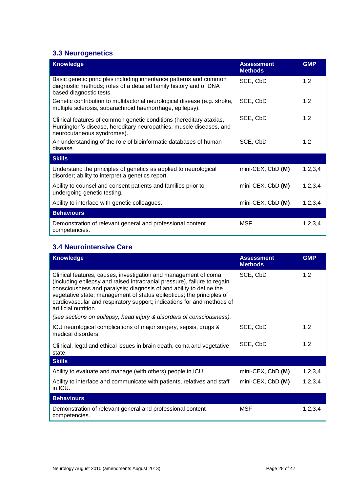## <span id="page-27-0"></span>**3.3 Neurogenetics**

| <b>Knowledge</b>                                                                                                                                                         | <b>Assessment</b><br><b>Methods</b> | <b>GMP</b> |
|--------------------------------------------------------------------------------------------------------------------------------------------------------------------------|-------------------------------------|------------|
| Basic genetic principles including inheritance patterns and common<br>diagnostic methods; roles of a detailed family history and of DNA<br>based diagnostic tests.       | SCE, CbD                            | 1,2        |
| Genetic contribution to multifactorial neurological disease (e.g. stroke,<br>multiple sclerosis, subarachnoid haemorrhage, epilepsy).                                    | SCE, CbD                            | 1,2        |
| Clinical features of common genetic conditions (hereditary ataxias,<br>Huntington's disease, hereditary neuropathies, muscle diseases, and<br>neurocutaneous syndromes). | SCE, CbD                            | 1,2        |
| An understanding of the role of bioinformatic databases of human<br>disease.                                                                                             | SCE, CbD                            | 1,2        |
| <b>Skills</b>                                                                                                                                                            |                                     |            |
| Understand the principles of genetics as applied to neurological<br>disorder; ability to interpret a genetics report.                                                    | mini-CEX, CbD (M)                   | 1,2,3,4    |
| Ability to counsel and consent patients and families prior to<br>undergoing genetic testing.                                                                             | mini-CEX, CbD (M)                   | 1,2,3,4    |
| Ability to interface with genetic colleagues.                                                                                                                            | mini-CEX, CbD (M)                   | 1,2,3,4    |
| <b>Behaviours</b>                                                                                                                                                        |                                     |            |
| Demonstration of relevant general and professional content<br>competencies.                                                                                              | <b>MSF</b>                          | 1,2,3,4    |

## <span id="page-27-1"></span>**3.4 Neurointensive Care**

| <b>Knowledge</b>                                                                                                                                                                                                                                                                                                                                                                               | <b>Assessment</b><br><b>Methods</b> | <b>GMP</b> |
|------------------------------------------------------------------------------------------------------------------------------------------------------------------------------------------------------------------------------------------------------------------------------------------------------------------------------------------------------------------------------------------------|-------------------------------------|------------|
| Clinical features, causes, investigation and management of coma<br>(including epilepsy and raised intracranial pressure), failure to regain<br>consciousness and paralysis; diagnosis of and ability to define the<br>vegetative state; management of status epilepticus; the principles of<br>cardiovascular and respiratory support; indications for and methods of<br>artificial nutrition. | SCE, CbD                            | 1,2        |
| (see sections on epilepsy, head injury & disorders of consciousness).                                                                                                                                                                                                                                                                                                                          |                                     |            |
| ICU neurological complications of major surgery, sepsis, drugs &<br>medical disorders.                                                                                                                                                                                                                                                                                                         | SCE, CbD                            | 1,2        |
| Clinical, legal and ethical issues in brain death, coma and vegetative<br>state.                                                                                                                                                                                                                                                                                                               | SCE, CbD                            | 1,2        |
| <b>Skills</b>                                                                                                                                                                                                                                                                                                                                                                                  |                                     |            |
| Ability to evaluate and manage (with others) people in ICU.                                                                                                                                                                                                                                                                                                                                    | mini-CEX, CbD (M)                   | 1,2,3,4    |
| Ability to interface and communicate with patients, relatives and staff<br>in ICU.                                                                                                                                                                                                                                                                                                             | mini-CEX, CbD (M)                   | 1,2,3,4    |
| <b>Behaviours</b>                                                                                                                                                                                                                                                                                                                                                                              |                                     |            |
| Demonstration of relevant general and professional content<br>competencies.                                                                                                                                                                                                                                                                                                                    | MSF                                 | 1,2,3,4    |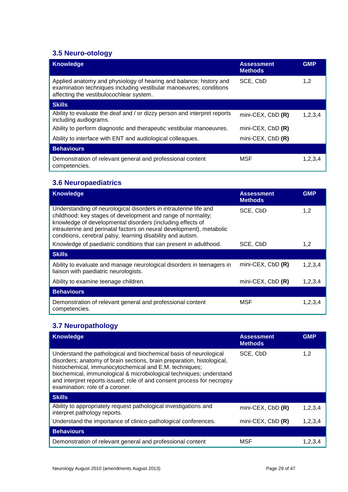## <span id="page-28-0"></span>**3.5 Neuro-otology**

| <b>Knowledge</b>                                                                                                                                                                    | <b>Assessment</b><br><b>Methods</b> | <b>GMP</b> |
|-------------------------------------------------------------------------------------------------------------------------------------------------------------------------------------|-------------------------------------|------------|
| Applied anatomy and physiology of hearing and balance; history and<br>examination techniques including vestibular manoeuvres; conditions<br>affecting the vestibulocochlear system. | SCE, CbD                            | 1,2        |
| <b>Skills</b>                                                                                                                                                                       |                                     |            |
| Ability to evaluate the deaf and / or dizzy person and interpret reports<br>including audiograms.                                                                                   | mini-CEX, CbD (R)                   | 1,2,3,4    |
| Ability to perform diagnostic and therapeutic vestibular manoeuvres.                                                                                                                | mini-CEX, $CbD$ $(R)$               |            |
| Ability to interface with ENT and audiological colleagues.                                                                                                                          | mini-CEX, $CbD$ $(R)$               |            |
| <b>Behaviours</b>                                                                                                                                                                   |                                     |            |
| Demonstration of relevant general and professional content<br>competencies.                                                                                                         | <b>MSF</b>                          | 1,2,3,4    |

## <span id="page-28-1"></span>**3.6 Neuropaediatrics**

| <b>Knowledge</b>                                                                                                                                                                                                                                                                                                                      | <b>Assessment</b><br><b>Methods</b> | <b>GMP</b> |
|---------------------------------------------------------------------------------------------------------------------------------------------------------------------------------------------------------------------------------------------------------------------------------------------------------------------------------------|-------------------------------------|------------|
| Understanding of neurological disorders in intrauterine life and<br>childhood; key stages of development and range of normality;<br>knowledge of developmental disorders (including effects of<br>intrauterine and perinatal factors on neural development), metabolic<br>conditions, cerebral palsy, learning disability and autism. | SCE, CbD                            | 1.2        |
| Knowledge of paediatric conditions that can present in adulthood.                                                                                                                                                                                                                                                                     | SCE, CbD                            | 1,2        |
| <b>Skills</b>                                                                                                                                                                                                                                                                                                                         |                                     |            |
| Ability to evaluate and manage neurological disorders in teenagers in<br>liaison with paediatric neurologists.                                                                                                                                                                                                                        | mini-CEX, $CbD(R)$                  | 1,2,3,4    |
| Ability to examine teenage children.                                                                                                                                                                                                                                                                                                  | mini-CEX, $CbD(R)$                  | 1,2,3,4    |
| <b>Behaviours</b>                                                                                                                                                                                                                                                                                                                     |                                     |            |
| Demonstration of relevant general and professional content<br>competencies.                                                                                                                                                                                                                                                           | MSF                                 | 1,2,3,4    |

## <span id="page-28-2"></span>**3.7 Neuropathology**

| <b>Knowledge</b>                                                                                                                                                                                                                                                                                                                                                                          | <b>Assessment</b><br><b>Methods</b> | <b>GMP</b> |
|-------------------------------------------------------------------------------------------------------------------------------------------------------------------------------------------------------------------------------------------------------------------------------------------------------------------------------------------------------------------------------------------|-------------------------------------|------------|
| Understand the pathological and biochemical basis of neurological<br>disorders; anatomy of brain sections, brain preparation, histological,<br>histochemical, immunocytochemical and E.M. techniques;<br>biochemical, immunological & microbiological techniques; understand<br>and interpret reports issued; role of and consent process for necropsy<br>examination: role of a coroner. | SCE, CbD                            | 1,2        |
| <b>Skills</b>                                                                                                                                                                                                                                                                                                                                                                             |                                     |            |
| Ability to appropriately request pathological investigations and<br>interpret pathology reports.                                                                                                                                                                                                                                                                                          | mini-CEX, $CbD$ $(R)$               | 1,2,3,4    |
| Understand the importance of clinico-pathological conferences.                                                                                                                                                                                                                                                                                                                            | mini-CEX, $CbD$ $(R)$               | 1,2,3,4    |
| <b>Behaviours</b>                                                                                                                                                                                                                                                                                                                                                                         |                                     |            |
| Demonstration of relevant general and professional content                                                                                                                                                                                                                                                                                                                                | MSF                                 | 1.2.3.4    |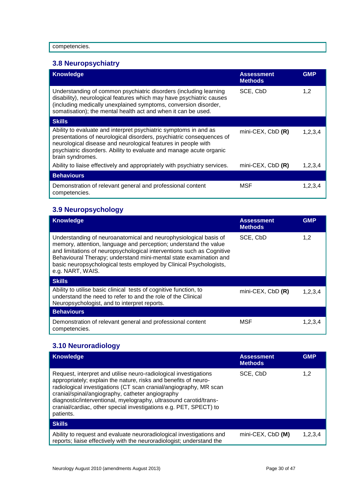## <span id="page-29-0"></span>**3.8 Neuropsychiatry**

| <b>Knowledge</b>                                                                                                                                                                                                                                                                                     | <b>Assessment</b><br><b>Methods</b> | <b>GMP</b> |
|------------------------------------------------------------------------------------------------------------------------------------------------------------------------------------------------------------------------------------------------------------------------------------------------------|-------------------------------------|------------|
| Understanding of common psychiatric disorders (including learning<br>disability), neurological features which may have psychiatric causes<br>(including medically unexplained symptoms, conversion disorder,<br>somatisation); the mental health act and when it can be used.                        | SCE, CbD                            | 1,2        |
| <b>Skills</b>                                                                                                                                                                                                                                                                                        |                                     |            |
| Ability to evaluate and interpret psychiatric symptoms in and as<br>presentations of neurological disorders, psychiatric consequences of<br>neurological disease and neurological features in people with<br>psychiatric disorders. Ability to evaluate and manage acute organic<br>brain syndromes. | $min-CEX$ , $CbD$ $(R)$             | 1,2,3,4    |
| Ability to liaise effectively and appropriately with psychiatry services.                                                                                                                                                                                                                            | mini-CEX, $CbD$ $(R)$               | 1,2,3,4    |
| <b>Behaviours</b>                                                                                                                                                                                                                                                                                    |                                     |            |
| Demonstration of relevant general and professional content<br>competencies.                                                                                                                                                                                                                          | MSF                                 | 1,2,3,4    |

## <span id="page-29-1"></span>**3.9 Neuropsychology**

| <b>Knowledge</b>                                                                                                                                                                                                                                                                                                                                                             | <b>Assessment</b><br><b>Methods</b> | <b>GMP</b> |
|------------------------------------------------------------------------------------------------------------------------------------------------------------------------------------------------------------------------------------------------------------------------------------------------------------------------------------------------------------------------------|-------------------------------------|------------|
| Understanding of neuroanatomical and neurophysiological basis of<br>memory, attention, language and perception; understand the value<br>and limitations of neuropsychological interventions such as Cognitive<br>Behavioural Therapy; understand mini-mental state examination and<br>basic neuropsychological tests employed by Clinical Psychologists,<br>e.g. NART, WAIS. | SCE, CbD                            | 1,2        |
| <b>Skills</b>                                                                                                                                                                                                                                                                                                                                                                |                                     |            |
| Ability to utilise basic clinical tests of cognitive function, to<br>understand the need to refer to and the role of the Clinical<br>Neuropsychologist, and to interpret reports.                                                                                                                                                                                            | $min-CEX$ , $CbD$ $(R)$             | 1,2,3,4    |
| <b>Behaviours</b>                                                                                                                                                                                                                                                                                                                                                            |                                     |            |
| Demonstration of relevant general and professional content<br>competencies.                                                                                                                                                                                                                                                                                                  | MSF                                 | 1,2,3,4    |

## <span id="page-29-2"></span>**3.10 Neuroradiology**

| <b>Knowledge</b>                                                                                                                                                                                                                                                                                                                                                                                                    | <b>Assessment</b><br><b>Methods</b> | <b>GMP</b> |
|---------------------------------------------------------------------------------------------------------------------------------------------------------------------------------------------------------------------------------------------------------------------------------------------------------------------------------------------------------------------------------------------------------------------|-------------------------------------|------------|
| Request, interpret and utilise neuro-radiological investigations<br>appropriately; explain the nature, risks and benefits of neuro-<br>radiological investigations (CT scan cranial/angiography, MR scan<br>cranial/spinal/angiography, catheter angiography<br>diagnostic/interventional, myelography, ultrasound carotid/trans-<br>cranial/cardiac, other special investigations e.g. PET, SPECT) to<br>patients. | SCE, CbD                            | 1,2        |
| <b>Skills</b>                                                                                                                                                                                                                                                                                                                                                                                                       |                                     |            |
| Ability to request and evaluate neuroradiological investigations and<br>reports; liaise effectively with the neuroradiologist; understand the                                                                                                                                                                                                                                                                       | mini-CEX, CbD (M)                   | 1.2.3.4    |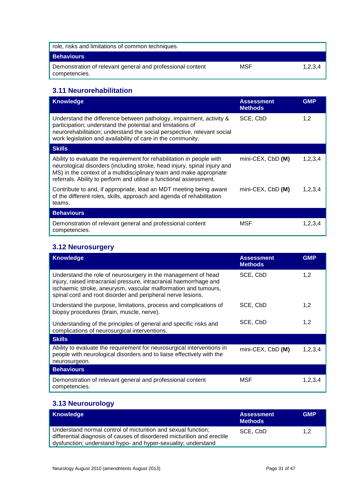| role, risks and limitations of common techniques.                           |     |         |
|-----------------------------------------------------------------------------|-----|---------|
| <b>Behaviours</b>                                                           |     |         |
| Demonstration of relevant general and professional content<br>competencies. | MSF | 1,2,3,4 |

## <span id="page-30-0"></span>**3.11 Neurorehabilitation**

| <b>Knowledge</b>                                                                                                                                                                                                                                                                               | <b>Assessment</b><br><b>Methods</b> | <b>GMP</b> |
|------------------------------------------------------------------------------------------------------------------------------------------------------------------------------------------------------------------------------------------------------------------------------------------------|-------------------------------------|------------|
| Understand the difference between pathology, impairment, activity &<br>participation; understand the potential and limitations of<br>neurorehabilitation; understand the social perspective, relevant social<br>work legislation and availability of care in the community.                    | SCE, CbD                            | 1,2        |
| <b>Skills</b>                                                                                                                                                                                                                                                                                  |                                     |            |
| Ability to evaluate the requirement for rehabilitation in people with<br>neurological disorders (including stroke, head injury, spinal injury and<br>MS) in the context of a multidisciplinary team and make appropriate<br>referrals. Ability to perform and utilise a functional assessment. | mini-CEX, CbD (M)                   | 1,2,3,4    |
| Contribute to and, if appropriate, lead an MDT meeting being aware<br>of the different roles, skills, approach and agenda of rehabilitation<br>teams.                                                                                                                                          | mini-CEX, CbD (M)                   | 1,2,3,4    |
| <b>Behaviours</b>                                                                                                                                                                                                                                                                              |                                     |            |
| Demonstration of relevant general and professional content<br>competencies.                                                                                                                                                                                                                    | <b>MSF</b>                          | 1,2,3,4    |

## <span id="page-30-1"></span>**3.12 Neurosurgery**

| <b>Knowledge</b>                                                                                                                                                                                                                                                     | <b>Assessment</b><br><b>Methods</b> | <b>GMP</b> |
|----------------------------------------------------------------------------------------------------------------------------------------------------------------------------------------------------------------------------------------------------------------------|-------------------------------------|------------|
| Understand the role of neurosurgery in the management of head<br>injury, raised intracranial pressure, intracranial haemorrhage and<br>ischaemic stroke, aneurysm, vascular malformation and tumours,<br>spinal cord and root disorder and peripheral nerve lesions. | SCE, CbD                            | 1,2        |
| Understand the purpose, limitations, process and complications of<br>biopsy procedures (brain, muscle, nerve).                                                                                                                                                       | SCE, CbD                            | 1,2        |
| Understanding of the principles of general and specific risks and<br>complications of neurosurgical interventions.                                                                                                                                                   | SCE, CbD                            | 1,2        |
| <b>Skills</b>                                                                                                                                                                                                                                                        |                                     |            |
| Ability to evaluate the requirement for neurosurgical interventions in<br>people with neurological disorders and to liaise effectively with the<br>neurosurgeon.                                                                                                     | $min$ -CEX, CbD $(M)$               | 1,2,3,4    |
| <b>Behaviours</b>                                                                                                                                                                                                                                                    |                                     |            |
| Demonstration of relevant general and professional content<br>competencies.                                                                                                                                                                                          | MSF                                 | 1,2,3,4    |

## <span id="page-30-2"></span>**3.13 Neurourology**

| Knowledge                                                                                                                                                                                                 | <b>Assessment</b><br><b>Methods</b> | <b>GMP</b>    |
|-----------------------------------------------------------------------------------------------------------------------------------------------------------------------------------------------------------|-------------------------------------|---------------|
| Understand normal control of micturition and sexual function;<br>differential diagnosis of causes of disordered micturition and erectile<br>dysfunction; understand hypo- and hyper-sexuality; understand | SCE, CbD                            | $1.2^{\circ}$ |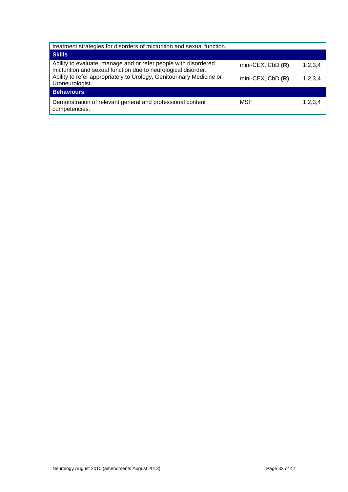| treatment strategies for disorders of micturition and sexual function.                                                           |                   |         |  |  |  |
|----------------------------------------------------------------------------------------------------------------------------------|-------------------|---------|--|--|--|
| Skills                                                                                                                           |                   |         |  |  |  |
| Ability to evaluate, manage and or refer people with disordered<br>micturition and sexual function due to neurological disorder. | mini-CEX, CbD (R) | 1,2,3,4 |  |  |  |
| Ability to refer appropriately to Urology, Genitourinary Medicine or<br>Uroneurologist.                                          | mini-CEX, CbD (R) | 1,2,3,4 |  |  |  |
| <b>Behaviours</b>                                                                                                                |                   |         |  |  |  |
| Demonstration of relevant general and professional content<br>competencies.                                                      | MSF               | 1,2,3,4 |  |  |  |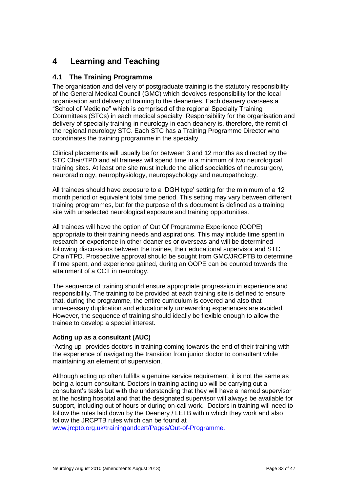## <span id="page-32-0"></span>**4 Learning and Teaching**

### <span id="page-32-1"></span>**4.1 The Training Programme**

The organisation and delivery of postgraduate training is the statutory responsibility of the General Medical Council (GMC) which devolves responsibility for the local organisation and delivery of training to the deaneries. Each deanery oversees a "School of Medicine" which is comprised of the regional Specialty Training Committees (STCs) in each medical specialty. Responsibility for the organisation and delivery of specialty training in neurology in each deanery is, therefore, the remit of the regional neurology STC. Each STC has a Training Programme Director who coordinates the training programme in the specialty.

Clinical placements will usually be for between 3 and 12 months as directed by the STC Chair/TPD and all trainees will spend time in a minimum of two neurological training sites. At least one site must include the allied specialties of neurosurgery, neuroradiology, neurophysiology, neuropsychology and neuropathology.

All trainees should have exposure to a 'DGH type' setting for the minimum of a 12 month period or equivalent total time period. This setting may vary between different training programmes, but for the purpose of this document is defined as a training site with unselected neurological exposure and training opportunities.

All trainees will have the option of Out Of Programme Experience (OOPE) appropriate to their training needs and aspirations. This may include time spent in research or experience in other deaneries or overseas and will be determined following discussions between the trainee, their educational supervisor and STC Chair/TPD. Prospective approval should be sought from GMC/JRCPTB to determine if time spent, and experience gained, during an OOPE can be counted towards the attainment of a CCT in neurology.

The sequence of training should ensure appropriate progression in experience and responsibility. The training to be provided at each training site is defined to ensure that, during the programme, the entire curriculum is covered and also that unnecessary duplication and educationally unrewarding experiences are avoided. However, the sequence of training should ideally be flexible enough to allow the trainee to develop a special interest.

### **Acting up as a consultant (AUC)**

"Acting up" provides doctors in training coming towards the end of their training with the experience of navigating the transition from junior doctor to consultant while maintaining an element of supervision.

Although acting up often fulfills a genuine service requirement, it is not the same as being a locum consultant. Doctors in training acting up will be carrying out a consultant's tasks but with the understanding that they will have a named supervisor at the hosting hospital and that the designated supervisor will always be available for support, including out of hours or during on-call work. Doctors in training will need to follow the rules laid down by the Deanery / LETB within which they work and also follow the JRCPTB rules which can be found at

[www.jrcptb.org.uk/trainingandcert/Pages/Out-of-Programme.](http://www.jrcptb.org.uk/trainingandcert/Pages/Out-of-Programme.aspx)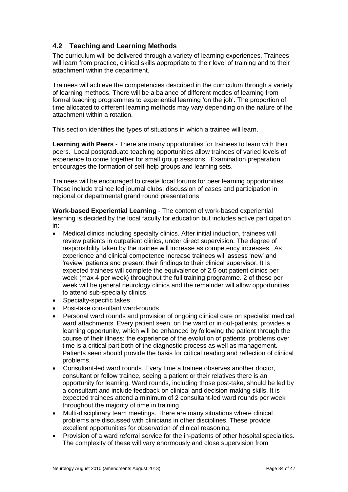### <span id="page-33-0"></span>**4.2 Teaching and Learning Methods**

The curriculum will be delivered through a variety of learning experiences. Trainees will learn from practice, clinical skills appropriate to their level of training and to their attachment within the department.

Trainees will achieve the competencies described in the curriculum through a variety of learning methods. There will be a balance of different modes of learning from formal teaching programmes to experiential learning 'on the job'. The proportion of time allocated to different learning methods may vary depending on the nature of the attachment within a rotation.

This section identifies the types of situations in which a trainee will learn.

**Learning with Peers** - There are many opportunities for trainees to learn with their peers. Local postgraduate teaching opportunities allow trainees of varied levels of experience to come together for small group sessions. Examination preparation encourages the formation of self-help groups and learning sets.

Trainees will be encouraged to create local forums for peer learning opportunities. These include trainee led journal clubs, discussion of cases and participation in regional or departmental grand round presentations

**Work-based Experiential Learning** - The content of work-based experiential learning is decided by the local faculty for education but includes active participation in:

- Medical clinics including specialty clinics. After initial induction, trainees will review patients in outpatient clinics, under direct supervision. The degree of responsibility taken by the trainee will increase as competency increases. As experience and clinical competence increase trainees will assess 'new' and 'review' patients and present their findings to their clinical supervisor. It is expected trainees will complete the equivalence of 2.5 out patient clinics per week (max 4 per week) throughout the full training programme. 2 of these per week will be general neurology clinics and the remainder will allow opportunities to attend sub-specialty clinics.
- Specialty-specific takes
- Post-take consultant ward-rounds
- Personal ward rounds and provision of ongoing clinical care on specialist medical ward attachments. Every patient seen, on the ward or in out-patients, provides a learning opportunity, which will be enhanced by following the patient through the course of their illness: the experience of the evolution of patients' problems over time is a critical part both of the diagnostic process as well as management. Patients seen should provide the basis for critical reading and reflection of clinical problems.
- Consultant-led ward rounds. Every time a trainee observes another doctor, consultant or fellow trainee, seeing a patient or their relatives there is an opportunity for learning. Ward rounds, including those post-take, should be led by a consultant and include feedback on clinical and decision-making skills. It is expected trainees attend a minimum of 2 consultant-led ward rounds per week throughout the majority of time in training.
- Multi-disciplinary team meetings. There are many situations where clinical problems are discussed with clinicians in other disciplines. These provide excellent opportunities for observation of clinical reasoning.
- Provision of a ward referral service for the in-patients of other hospital specialties. The complexity of these will vary enormously and close supervision from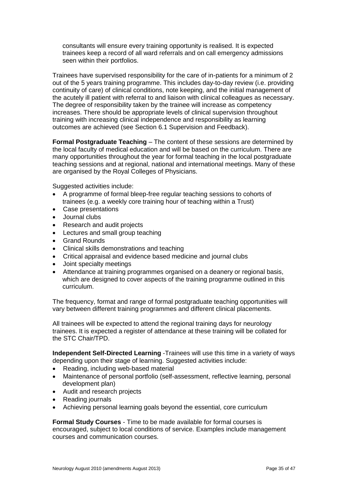consultants will ensure every training opportunity is realised. It is expected trainees keep a record of all ward referrals and on call emergency admissions seen within their portfolios.

Trainees have supervised responsibility for the care of in-patients for a minimum of 2 out of the 5 years training programme. This includes day-to-day review (i.e. providing continuity of care) of clinical conditions, note keeping, and the initial management of the acutely ill patient with referral to and liaison with clinical colleagues as necessary. The degree of responsibility taken by the trainee will increase as competency increases. There should be appropriate levels of clinical supervision throughout training with increasing clinical independence and responsibility as learning outcomes are achieved (see Section 6.1 Supervision and Feedback).

**Formal Postgraduate Teaching** – The content of these sessions are determined by the local faculty of medical education and will be based on the curriculum. There are many opportunities throughout the year for formal teaching in the local postgraduate teaching sessions and at regional, national and international meetings. Many of these are organised by the Royal Colleges of Physicians.

Suggested activities include:

- A programme of formal bleep-free regular teaching sessions to cohorts of trainees (e.g. a weekly core training hour of teaching within a Trust)
- Case presentations
- Journal clubs
- Research and audit projects
- Lectures and small group teaching
- Grand Rounds
- Clinical skills demonstrations and teaching
- Critical appraisal and evidence based medicine and journal clubs
- Joint specialty meetings
- Attendance at training programmes organised on a deanery or regional basis, which are designed to cover aspects of the training programme outlined in this curriculum.

The frequency, format and range of formal postgraduate teaching opportunities will vary between different training programmes and different clinical placements.

All trainees will be expected to attend the regional training days for neurology trainees. It is expected a register of attendance at these training will be collated for the STC Chair/TPD.

**Independent Self-Directed Learning** -Trainees will use this time in a variety of ways depending upon their stage of learning. Suggested activities include:

- Reading, including web-based material
- Maintenance of personal portfolio (self-assessment, reflective learning, personal development plan)
- Audit and research projects
- Reading journals
- Achieving personal learning goals beyond the essential, core curriculum

**Formal Study Courses** - Time to be made available for formal courses is encouraged, subject to local conditions of service. Examples include management courses and communication courses.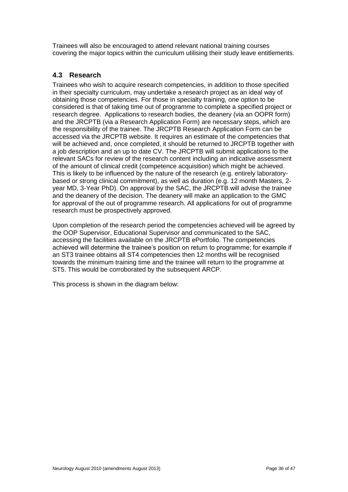Trainees will also be encouraged to attend relevant national training courses covering the major topics within the curriculum utilising their study leave entitlements.

### <span id="page-35-0"></span>**4.3 Research**

Trainees who wish to acquire research competencies, in addition to those specified in their specialty curriculum, may undertake a research project as an ideal way of obtaining those competencies. For those in specialty training, one option to be considered is that of taking time out of programme to complete a specified project or research degree. Applications to research bodies, the deanery (via an OOPR form) and the JRCPTB (via a Research Application Form) are necessary steps, which are the responsibility of the trainee. The JRCPTB Research Application Form can be accessed via the JRCPTB website. It requires an estimate of the competencies that will be achieved and, once completed, it should be returned to JRCPTB together with a job description and an up to date CV. The JRCPTB will submit applications to the relevant SACs for review of the research content including an indicative assessment of the amount of clinical credit (competence acquisition) which might be achieved. This is likely to be influenced by the nature of the research (e.g. entirely laboratorybased or strong clinical commitment), as well as duration (e.g. 12 month Masters, 2 year MD, 3-Year PhD). On approval by the SAC, the JRCPTB will advise the trainee and the deanery of the decision. The deanery will make an application to the GMC for approval of the out of programme research. All applications for out of programme research must be prospectively approved.

Upon completion of the research period the competencies achieved will be agreed by the OOP Supervisor, Educational Supervisor and communicated to the SAC, accessing the facilities available on the JRCPTB ePortfolio. The competencies achieved will determine the trainee's position on return to programme; for example if an ST3 trainee obtains all ST4 competencies then 12 months will be recognised towards the minimum training time and the trainee will return to the programme at ST5. This would be corroborated by the subsequent ARCP.

This process is shown in the diagram below: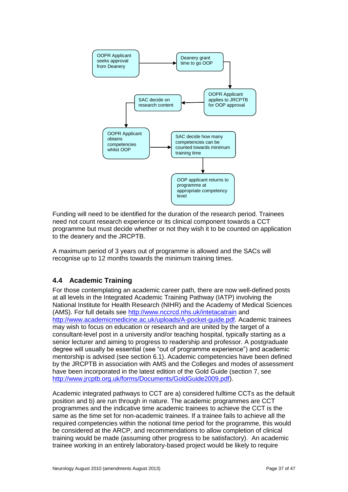

Funding will need to be identified for the duration of the research period. Trainees need not count research experience or its clinical component towards a CCT programme but must decide whether or not they wish it to be counted on application to the deanery and the JRCPTB.

A maximum period of 3 years out of programme is allowed and the SACs will recognise up to 12 months towards the minimum training times.

## <span id="page-36-0"></span>**4.4 Academic Training**

For those contemplating an academic career path, there are now well-defined posts at all levels in the Integrated Academic Training Pathway (IATP) involving the National Institute for Health Research (NIHR) and the Academy of Medical Sciences (AMS). For full details see <http://www.nccrcd.nhs.uk/intetacatrain> and [http://www.academicmedicine.ac.uk/uploads/A-pocket-guide.pdf.](http://www.academicmedicine.ac.uk/uploads/A-pocket-guide.pdf) Academic trainees may wish to focus on education or research and are united by the target of a consultant-level post in a university and/or teaching hospital, typically starting as a senior lecturer and aiming to progress to readership and professor. A postgraduate degree will usually be essential (see "out of programme experience") and academic mentorship is advised (see section 6.1). Academic competencies have been defined by the JRCPTB in association with AMS and the Colleges and modes of assessment have been incorporated in the latest edition of the Gold Guide (section 7, se[e](http://www.jrcptb.org.uk/forms/Documents/GoldGuide2009.pdf) [http://www.jrcptb.org.uk/forms/Documents/GoldGuide2009.pdf\)](http://www.jrcptb.org.uk/forms/Documents/GoldGuide2009.pdf).

Academic integrated pathways to CCT are a) considered fulltime CCTs as the default position and b) are run through in nature. The academic programmes are CCT programmes and the indicative time academic trainees to achieve the CCT is the same as the time set for non-academic trainees. If a trainee fails to achieve all the required competencies within the notional time period for the programme, this would be considered at the ARCP, and recommendations to allow completion of clinical training would be made (assuming other progress to be satisfactory). An academic trainee working in an entirely laboratory-based project would be likely to require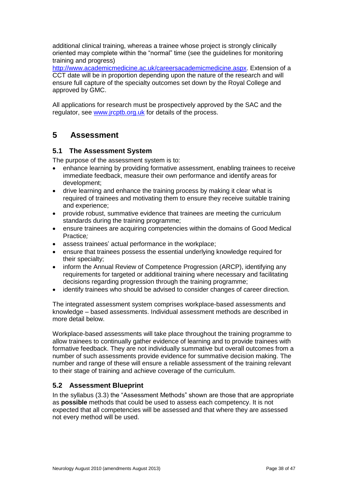additional clinical training, whereas a trainee whose project is strongly clinically oriented may complete within the "normal" time (see the guidelines for monitoring training and progress)

[http://www.academicmedicine.ac.uk/careersacademicmedicine.aspx.](http://www.academicmedicine.ac.uk/careersacademicmedicine.aspx) Extension of a CCT date will be in proportion depending upon the nature of the research and will ensure full capture of the specialty outcomes set down by the Royal College and approved by GMC.

All applications for research must be prospectively approved by the SAC and the regulator, see [www.jrcptb.org.uk](http://www.jrcptb.org.uk/) for details of the process.

## <span id="page-37-0"></span>**5 Assessment**

### <span id="page-37-1"></span>**5.1 The Assessment System**

The purpose of the assessment system is to:

- enhance learning by providing formative assessment, enabling trainees to receive immediate feedback, measure their own performance and identify areas for development;
- drive learning and enhance the training process by making it clear what is required of trainees and motivating them to ensure they receive suitable training and experience;
- provide robust, summative evidence that trainees are meeting the curriculum standards during the training programme;
- ensure trainees are acquiring competencies within the domains of Good Medical Practice*;*
- assess trainees' actual performance in the workplace;
- ensure that trainees possess the essential underlying knowledge required for their specialty;
- inform the Annual Review of Competence Progression (ARCP), identifying any requirements for targeted or additional training where necessary and facilitating decisions regarding progression through the training programme;
- identify trainees who should be advised to consider changes of career direction.

The integrated assessment system comprises workplace-based assessments and knowledge – based assessments. Individual assessment methods are described in more detail below.

Workplace-based assessments will take place throughout the training programme to allow trainees to continually gather evidence of learning and to provide trainees with formative feedback. They are not individually summative but overall outcomes from a number of such assessments provide evidence for summative decision making. The number and range of these will ensure a reliable assessment of the training relevant to their stage of training and achieve coverage of the curriculum.

### <span id="page-37-2"></span>**5.2 Assessment Blueprint**

In the syllabus [\(3.3\)](#page-5-0) the "Assessment Methods" shown are those that are appropriate as **possible** methods that could be used to assess each competency. It is not expected that all competencies will be assessed and that where they are assessed not every method will be used.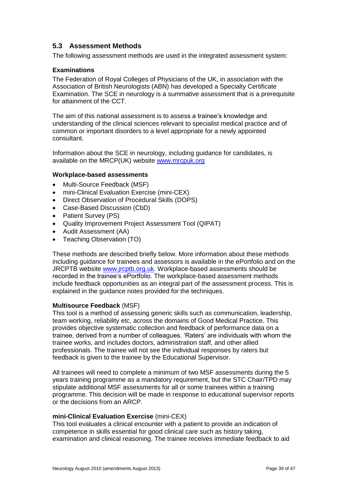### <span id="page-38-0"></span>**5.3 Assessment Methods**

The following assessment methods are used in the integrated assessment system:

### **Examinations**

The Federation of Royal Colleges of Physicians of the UK, in association with the Association of British Neurologists (ABN) has developed a Specialty Certificate Examination. The SCE in neurology is a summative assessment that is a prerequisite for attainment of the CCT.

The aim of this national assessment is to assess a trainee's knowledge and understanding of the clinical sciences relevant to specialist medical practice and of common or important disorders to a level appropriate for a newly appointed consultant.

Information about the SCE in neurology, including guidance for candidates, is available on the MRCP(UK) website [www.mrcpuk.org](http://www.mrcpuk.org/)

### **Workplace-based assessments**

- Multi-Source Feedback (MSF)
- mini-Clinical Evaluation Exercise (mini-CEX)
- Direct Observation of Procedural Skills (DOPS)
- Case-Based Discussion (CbD)
- Patient Survey (PS)
- Quality Improvement Project Assessment Tool (QIPAT)
- Audit Assessment (AA)
- Teaching Observation (TO)

These methods are described briefly below. More information about these methods including guidance for trainees and assessors is available in the ePortfolio and on the JRCPTB website [www.jrcptb.org.uk.](http://www.jrcptb.org.uk/) Workplace-based assessments should be recorded in the trainee's ePortfolio. The workplace-based assessment methods include feedback opportunities as an integral part of the assessment process. This is explained in the guidance notes provided for the techniques.

#### **Multisource Feedback** (MSF)

This tool is a method of assessing generic skills such as communication, leadership, team working, reliability etc, across the domains of Good Medical Practice. This provides objective systematic collection and feedback of performance data on a trainee, derived from a number of colleagues. 'Raters' are individuals with whom the trainee works, and includes doctors, administration staff, and other allied professionals. The trainee will not see the individual responses by raters but feedback is given to the trainee by the Educational Supervisor.

All trainees will need to complete a minimum of two MSF assessments during the 5 years training programme as a mandatory requirement, but the STC Chair/TPD may stipulate additional MSF assessments for all or some trainees within a training programme. This decision will be made in response to educational supervisor reports or the decisions from an ARCP.

### **mini-Clinical Evaluation Exercise** (mini-CEX)

This tool evaluates a clinical encounter with a patient to provide an indication of competence in skills essential for good clinical care such as history taking, examination and clinical reasoning. The trainee receives immediate feedback to aid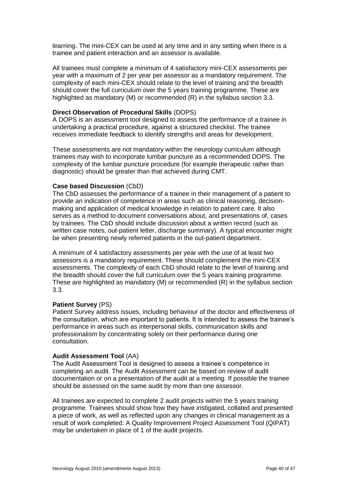learning. The mini-CEX can be used at any time and in any setting when there is a trainee and patient interaction and an assessor is available.

All trainees must complete a minimum of 4 satisfactory mini-CEX assessments per year with a maximum of 2 per year per assessor as a mandatory requirement. The complexity of each mini-CEX should relate to the level of training and the breadth should cover the full curriculum over the 5 years training programme. These are highlighted as mandatory (M) or recommended (R) in the syllabus section 3.3.

#### **Direct Observation of Procedural Skills** (DOPS)

A DOPS is an assessment tool designed to assess the performance of a trainee in undertaking a practical procedure, against a structured checklist. The trainee receives immediate feedback to identify strengths and areas for development.

These assessments are not mandatory within the neurology curriculum although trainees may wish to incorporate lumbar puncture as a recommended DOPS. The complexity of the lumbar puncture procedure (for example therapeutic rather than diagnostic) should be greater than that achieved during CMT.

#### **Case based Discussion** (CbD)

The CbD assesses the performance of a trainee in their management of a patient to provide an indication of competence in areas such as clinical reasoning, decisionmaking and application of medical knowledge in relation to patient care. It also serves as a method to document conversations about, and presentations of, cases by trainees. The CbD should include discussion about a written record (such as written case notes, out-patient letter, discharge summary). A typical encounter might be when presenting newly referred patients in the out-patient department.

A minimum of 4 satisfactory assessments per year with the use of at least two assessors is a mandatory requirement. These should complement the mini-CEX assessments. The complexity of each CbD should relate to the level of training and the breadth should cover the full curriculum over the 5 years training programme. These are highlighted as mandatory (M) or recommended (R) in the syllabus section 3.3.

#### **Patient Survey** (PS)

Patient Survey address issues, including behaviour of the doctor and effectiveness of the consultation, which are important to patients. It is intended to assess the trainee's performance in areas such as interpersonal skills, communication skills and professionalism by concentrating solely on their performance during one consultation.

#### **Audit Assessment Tool** (AA)

The Audit Assessment Tool is designed to assess a trainee's competence in completing an audit. The Audit Assessment can be based on review of audit documentation or on a presentation of the audit at a meeting. If possible the trainee should be assessed on the same audit by more than one assessor.

All trainees are expected to complete 2 audit projects within the 5 years training programme. Trainees should show how they have instigated, collated and presented a piece of work, as well as reflected upon any changes in clinical management as a result of work completed. A Quality Improvement Project Assessment Tool (QIPAT) may be undertaken in place of 1 of the audit projects.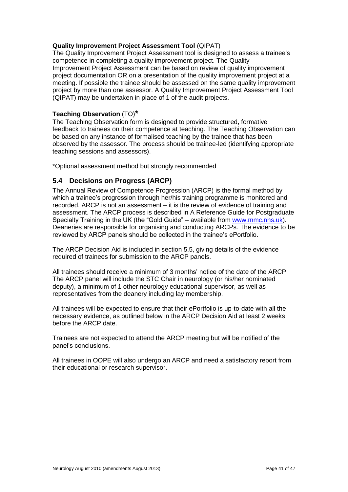### **Quality Improvement Project Assessment Tool** (QIPAT)

The Quality Improvement Project Assessment tool is designed to assess a trainee's competence in completing a quality improvement project. The Quality Improvement Project Assessment can be based on review of quality improvement project documentation OR on a presentation of the quality improvement project at a meeting. If possible the trainee should be assessed on the same quality improvement project by more than one assessor. A Quality Improvement Project Assessment Tool (QIPAT) may be undertaken in place of 1 of the audit projects.

### **Teaching Observation** (TO)**\***

The Teaching Observation form is designed to provide structured, formative feedback to trainees on their competence at teaching. The Teaching Observation can be based on any instance of formalised teaching by the trainee that has been observed by the assessor. The process should be trainee-led (identifying appropriate teaching sessions and assessors).

\*Optional assessment method but strongly recommended

### <span id="page-40-0"></span>**5.4 Decisions on Progress (ARCP)**

The Annual Review of Competence Progression (ARCP) is the formal method by which a trainee's progression through her/his training programme is monitored and recorded. ARCP is not an assessment – it is the review of evidence of training and assessment. The ARCP process is described in A Reference Guide for Postgraduate Specialty Training in the UK (the "Gold Guide" – available from [www.mmc.nhs.uk\)](http://www.mmc.nhs.uk/). Deaneries are responsible for organising and conducting ARCPs. The evidence to be reviewed by ARCP panels should be collected in the trainee's ePortfolio.

The ARCP Decision Aid is included in section 5.5, giving details of the evidence required of trainees for submission to the ARCP panels.

All trainees should receive a minimum of 3 months' notice of the date of the ARCP. The ARCP panel will include the STC Chair in neurology (or his/her nominated deputy), a minimum of 1 other neurology educational supervisor, as well as representatives from the deanery including lay membership.

All trainees will be expected to ensure that their ePortfolio is up-to-date with all the necessary evidence, as outlined below in the ARCP Decision Aid at least 2 weeks before the ARCP date.

Trainees are not expected to attend the ARCP meeting but will be notified of the panel's conclusions.

All trainees in OOPE will also undergo an ARCP and need a satisfactory report from their educational or research supervisor.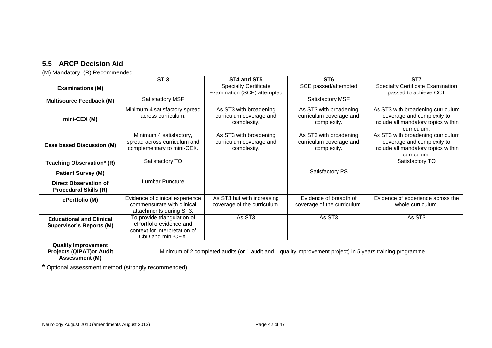## **5.5 ARCP Decision Aid**

(M) Mandatory, (R) Recommended

|                                                                                 | ST <sub>3</sub>                                                                                              | ST4 and ST5                                                      | ST <sub>6</sub>                                                  | ST <sub>7</sub>                                                                                                       |
|---------------------------------------------------------------------------------|--------------------------------------------------------------------------------------------------------------|------------------------------------------------------------------|------------------------------------------------------------------|-----------------------------------------------------------------------------------------------------------------------|
| <b>Examinations (M)</b>                                                         |                                                                                                              | <b>Specialty Certificate</b><br>Examination (SCE) attempted      | SCE passed/attempted                                             | <b>Specialty Certificate Examination</b><br>passed to achieve CCT                                                     |
| <b>Multisource Feedback (M)</b>                                                 | Satisfactory MSF                                                                                             |                                                                  | Satisfactory MSF                                                 |                                                                                                                       |
| mini-CEX (M)                                                                    | Minimum 4 satisfactory spread<br>across curriculum.                                                          | As ST3 with broadening<br>curriculum coverage and<br>complexity. | As ST3 with broadening<br>curriculum coverage and<br>complexity. | As ST3 with broadening curriculum<br>coverage and complexity to<br>include all mandatory topics within<br>curriculum. |
| <b>Case based Discussion (M)</b>                                                | Minimum 4 satisfactory,<br>spread across curriculum and<br>complementary to mini-CEX.                        | As ST3 with broadening<br>curriculum coverage and<br>complexity. | As ST3 with broadening<br>curriculum coverage and<br>complexity. | As ST3 with broadening curriculum<br>coverage and complexity to<br>include all mandatory topics within<br>curriculum. |
| Teaching Observation* (R)                                                       | Satisfactory TO                                                                                              |                                                                  |                                                                  | Satisfactory TO                                                                                                       |
| <b>Patient Survey (M)</b>                                                       |                                                                                                              |                                                                  | Satisfactory PS                                                  |                                                                                                                       |
| <b>Direct Observation of</b><br><b>Procedural Skills (R)</b>                    | Lumbar Puncture                                                                                              |                                                                  |                                                                  |                                                                                                                       |
| ePortfolio (M)                                                                  | Evidence of clinical experience<br>commensurate with clinical<br>attachments during ST3.                     | As ST3 but with increasing<br>coverage of the curriculum.        | Evidence of breadth of<br>coverage of the curriculum.            | Evidence of experience across the<br>whole curriculum.                                                                |
| <b>Educational and Clinical</b><br><b>Supervisor's Reports (M)</b>              | To provide triangulation of<br>ePortfolio evidence and<br>context for interpretation of<br>CbD and mini-CEX. | As ST <sub>3</sub>                                               | As ST3                                                           | As ST3                                                                                                                |
| <b>Quality Improvement</b><br><b>Projects (QIPAT)or Audit</b><br>Assessment (M) | Minimum of 2 completed audits (or 1 audit and 1 quality improvement project) in 5 years training programme.  |                                                                  |                                                                  |                                                                                                                       |

<span id="page-41-0"></span>**\*** Optional assessment method (strongly recommended)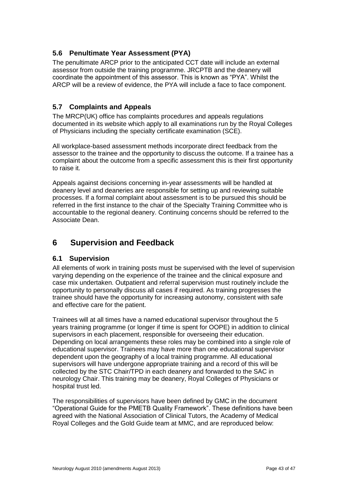### <span id="page-42-0"></span>**5.6 Penultimate Year Assessment (PYA)**

The penultimate ARCP prior to the anticipated CCT date will include an external assessor from outside the training programme. JRCPTB and the deanery will coordinate the appointment of this assessor. This is known as "PYA". Whilst the ARCP will be a review of evidence, the PYA will include a face to face component.

### <span id="page-42-1"></span>**5.7 Complaints and Appeals**

The MRCP(UK) office has complaints procedures and appeals regulations documented in its website which apply to all examinations run by the Royal Colleges of Physicians including the specialty certificate examination (SCE).

All workplace-based assessment methods incorporate direct feedback from the assessor to the trainee and the opportunity to discuss the outcome. If a trainee has a complaint about the outcome from a specific assessment this is their first opportunity to raise it.

Appeals against decisions concerning in-year assessments will be handled at deanery level and deaneries are responsible for setting up and reviewing suitable processes. If a formal complaint about assessment is to be pursued this should be referred in the first instance to the chair of the Specialty Training Committee who is accountable to the regional deanery. Continuing concerns should be referred to the Associate Dean.

## <span id="page-42-2"></span>**6 Supervision and Feedback**

### <span id="page-42-3"></span>**6.1 Supervision**

All elements of work in training posts must be supervised with the level of supervision varying depending on the experience of the trainee and the clinical exposure and case mix undertaken. Outpatient and referral supervision must routinely include the opportunity to personally discuss all cases if required. As training progresses the trainee should have the opportunity for increasing autonomy, consistent with safe and effective care for the patient.

Trainees will at all times have a named educational supervisor throughout the 5 years training programme (or longer if time is spent for OOPE) in addition to clinical supervisors in each placement, responsible for overseeing their education. Depending on local arrangements these roles may be combined into a single role of educational supervisor. Trainees may have more than one educational supervisor dependent upon the geography of a local training programme. All educational supervisors will have undergone appropriate training and a record of this will be collected by the STC Chair/TPD in each deanery and forwarded to the SAC in neurology Chair. This training may be deanery, Royal Colleges of Physicians or hospital trust led.

The responsibilities of supervisors have been defined by GMC in the document "Operational Guide for the PMETB Quality Framework". These definitions have been agreed with the National Association of Clinical Tutors, the Academy of Medical Royal Colleges and the Gold Guide team at MMC, and are reproduced below: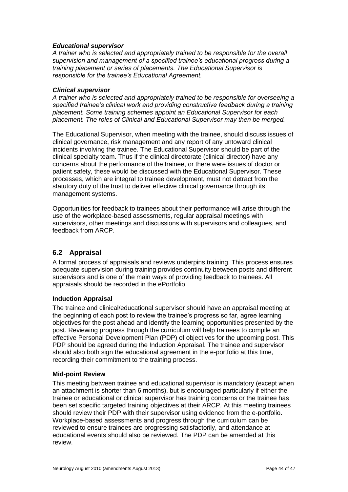### *Educational supervisor*

*A trainer who is selected and appropriately trained to be responsible for the overall supervision and management of a specified trainee's educational progress during a training placement or series of placements. The Educational Supervisor is responsible for the trainee's Educational Agreement.*

#### *Clinical supervisor*

*A trainer who is selected and appropriately trained to be responsible for overseeing a specified trainee's clinical work and providing constructive feedback during a training placement. Some training schemes appoint an Educational Supervisor for each placement. The roles of Clinical and Educational Supervisor may then be merged.*

The Educational Supervisor, when meeting with the trainee, should discuss issues of clinical governance, risk management and any report of any untoward clinical incidents involving the trainee. The Educational Supervisor should be part of the clinical specialty team. Thus if the clinical directorate (clinical director) have any concerns about the performance of the trainee, or there were issues of doctor or patient safety, these would be discussed with the Educational Supervisor. These processes, which are integral to trainee development, must not detract from the statutory duty of the trust to deliver effective clinical governance through its management systems.

Opportunities for feedback to trainees about their performance will arise through the use of the workplace-based assessments, regular appraisal meetings with supervisors, other meetings and discussions with supervisors and colleagues, and feedback from ARCP.

### <span id="page-43-0"></span>**6.2 Appraisal**

A formal process of appraisals and reviews underpins training. This process ensures adequate supervision during training provides continuity between posts and different supervisors and is one of the main ways of providing feedback to trainees. All appraisals should be recorded in the ePortfolio

### **Induction Appraisal**

The trainee and clinical/educational supervisor should have an appraisal meeting at the beginning of each post to review the trainee's progress so far, agree learning objectives for the post ahead and identify the learning opportunities presented by the post. Reviewing progress through the curriculum will help trainees to compile an effective Personal Development Plan (PDP) of objectives for the upcoming post. This PDP should be agreed during the Induction Appraisal. The trainee and supervisor should also both sign the educational agreement in the e-portfolio at this time. recording their commitment to the training process.

### **Mid-point Review**

This meeting between trainee and educational supervisor is mandatory (except when an attachment is shorter than 6 months), but is encouraged particularly if either the trainee or educational or clinical supervisor has training concerns or the trainee has been set specific targeted training objectives at their ARCP. At this meeting trainees should review their PDP with their supervisor using evidence from the e-portfolio. Workplace-based assessments and progress through the curriculum can be reviewed to ensure trainees are progressing satisfactorily, and attendance at educational events should also be reviewed. The PDP can be amended at this review.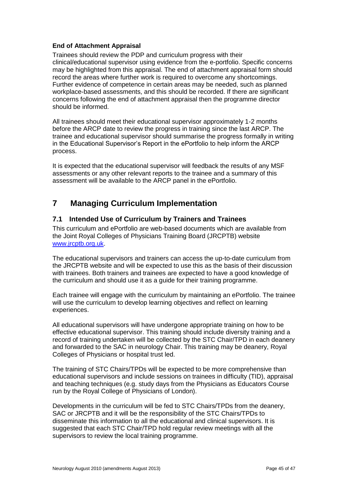### **End of Attachment Appraisal**

Trainees should review the PDP and curriculum progress with their clinical/educational supervisor using evidence from the e-portfolio. Specific concerns may be highlighted from this appraisal. The end of attachment appraisal form should record the areas where further work is required to overcome any shortcomings. Further evidence of competence in certain areas may be needed, such as planned workplace-based assessments, and this should be recorded. If there are significant concerns following the end of attachment appraisal then the programme director should be informed.

All trainees should meet their educational supervisor approximately 1-2 months before the ARCP date to review the progress in training since the last ARCP. The trainee and educational supervisor should summarise the progress formally in writing in the Educational Supervisor's Report in the ePortfolio to help inform the ARCP process.

It is expected that the educational supervisor will feedback the results of any MSF assessments or any other relevant reports to the trainee and a summary of this assessment will be available to the ARCP panel in the ePortfolio.

## <span id="page-44-0"></span>**7 Managing Curriculum Implementation**

### <span id="page-44-1"></span>**7.1 Intended Use of Curriculum by Trainers and Trainees**

This curriculum and ePortfolio are web-based documents which are available from the Joint Royal Colleges of Physicians Training Board (JRCPTB) website [www.jrcptb.org.uk.](http://www.jrcptb.org.uk/)

The educational supervisors and trainers can access the up-to-date curriculum from the JRCPTB website and will be expected to use this as the basis of their discussion with trainees. Both trainers and trainees are expected to have a good knowledge of the curriculum and should use it as a guide for their training programme.

Each trainee will engage with the curriculum by maintaining an ePortfolio. The trainee will use the curriculum to develop learning objectives and reflect on learning experiences.

All educational supervisors will have undergone appropriate training on how to be effective educational supervisor. This training should include diversity training and a record of training undertaken will be collected by the STC Chair/TPD in each deanery and forwarded to the SAC in neurology Chair. This training may be deanery, Royal Colleges of Physicians or hospital trust led.

The training of STC Chairs/TPDs will be expected to be more comprehensive than educational supervisors and include sessions on trainees in difficulty (TID), appraisal and teaching techniques (e.g. study days from the Physicians as Educators Course run by the Royal College of Physicians of London).

Developments in the curriculum will be fed to STC Chairs/TPDs from the deanery, SAC or JRCPTB and it will be the responsibility of the STC Chairs/TPDs to disseminate this information to all the educational and clinical supervisors. It is suggested that each STC Chair/TPD hold regular review meetings with all the supervisors to review the local training programme.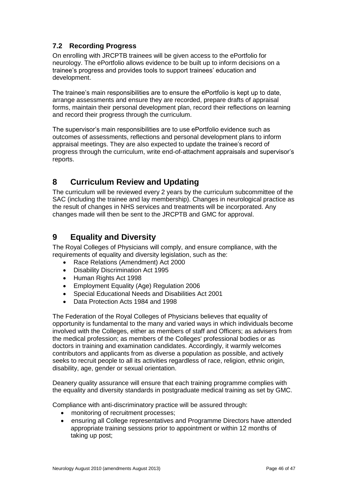## <span id="page-45-0"></span>**7.2 Recording Progress**

On enrolling with JRCPTB trainees will be given access to the ePortfolio for neurology. The ePortfolio allows evidence to be built up to inform decisions on a trainee's progress and provides tools to support trainees' education and development.

The trainee's main responsibilities are to ensure the ePortfolio is kept up to date, arrange assessments and ensure they are recorded, prepare drafts of appraisal forms, maintain their personal development plan, record their reflections on learning and record their progress through the curriculum.

The supervisor's main responsibilities are to use ePortfolio evidence such as outcomes of assessments, reflections and personal development plans to inform appraisal meetings. They are also expected to update the trainee's record of progress through the curriculum, write end-of-attachment appraisals and supervisor's reports.

## <span id="page-45-1"></span>**8 Curriculum Review and Updating**

The curriculum will be reviewed every 2 years by the curriculum subcommittee of the SAC (including the trainee and lay membership). Changes in neurological practice as the result of changes in NHS services and treatments will be incorporated. Any changes made will then be sent to the JRCPTB and GMC for approval.

## <span id="page-45-2"></span>**9 Equality and Diversity**

The Royal Colleges of Physicians will comply, and ensure compliance, with the requirements of equality and diversity legislation, such as the:

- Race Relations (Amendment) Act 2000
- Disability Discrimination Act 1995
- Human Rights Act 1998
- Employment Equality (Age) Regulation 2006
- Special Educational Needs and Disabilities Act 2001
- Data Protection Acts 1984 and 1998

The Federation of the Royal Colleges of Physicians believes that equality of opportunity is fundamental to the many and varied ways in which individuals become involved with the Colleges, either as members of staff and Officers; as advisers from the medical profession; as members of the Colleges' professional bodies or as doctors in training and examination candidates. Accordingly, it warmly welcomes contributors and applicants from as diverse a population as possible, and actively seeks to recruit people to all its activities regardless of race, religion, ethnic origin, disability, age, gender or sexual orientation.

Deanery quality assurance will ensure that each training programme complies with the equality and diversity standards in postgraduate medical training as set by GMC.

Compliance with anti-discriminatory practice will be assured through:

- monitoring of recruitment processes:
- ensuring all College representatives and Programme Directors have attended appropriate training sessions prior to appointment or within 12 months of taking up post;